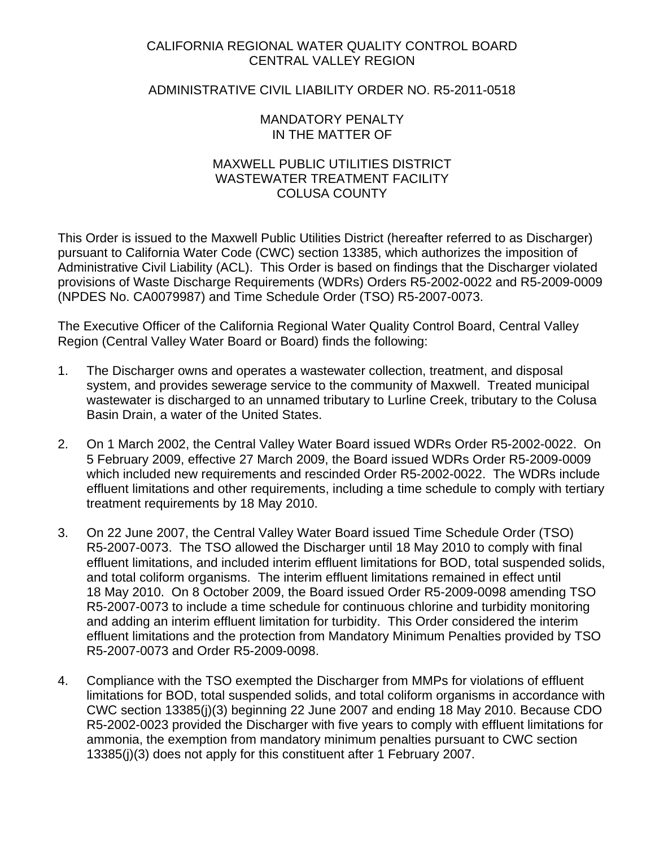## CALIFORNIA REGIONAL WATER QUALITY CONTROL BOARD CENTRAL VALLEY REGION

# ADMINISTRATIVE CIVIL LIABILITY ORDER NO. R5-2011-0518

## MANDATORY PENALTY IN THE MATTER OF

## MAXWELL PUBLIC UTILITIES DISTRICT WASTEWATER TREATMENT FACILITY COLUSA COUNTY

This Order is issued to the Maxwell Public Utilities District (hereafter referred to as Discharger) pursuant to California Water Code (CWC) section 13385, which authorizes the imposition of Administrative Civil Liability (ACL). This Order is based on findings that the Discharger violated provisions of Waste Discharge Requirements (WDRs) Orders R5-2002-0022 and R5-2009-0009 (NPDES No. CA0079987) and Time Schedule Order (TSO) R5-2007-0073.

The Executive Officer of the California Regional Water Quality Control Board, Central Valley Region (Central Valley Water Board or Board) finds the following:

- 1. The Discharger owns and operates a wastewater collection, treatment, and disposal system, and provides sewerage service to the community of Maxwell. Treated municipal wastewater is discharged to an unnamed tributary to Lurline Creek, tributary to the Colusa Basin Drain, a water of the United States.
- 2. On 1 March 2002, the Central Valley Water Board issued WDRs Order R5-2002-0022. On 5 February 2009, effective 27 March 2009, the Board issued WDRs Order R5-2009-0009 which included new requirements and rescinded Order R5-2002-0022. The WDRs include effluent limitations and other requirements, including a time schedule to comply with tertiary treatment requirements by 18 May 2010.
- 3. On 22 June 2007, the Central Valley Water Board issued Time Schedule Order (TSO) R5-2007-0073. The TSO allowed the Discharger until 18 May 2010 to comply with final effluent limitations, and included interim effluent limitations for BOD, total suspended solids, and total coliform organisms. The interim effluent limitations remained in effect until 18 May 2010. On 8 October 2009, the Board issued Order R5-2009-0098 amending TSO R5-2007-0073 to include a time schedule for continuous chlorine and turbidity monitoring and adding an interim effluent limitation for turbidity. This Order considered the interim effluent limitations and the protection from Mandatory Minimum Penalties provided by TSO R5-2007-0073 and Order R5-2009-0098.
- 4. Compliance with the TSO exempted the Discharger from MMPs for violations of effluent limitations for BOD, total suspended solids, and total coliform organisms in accordance with CWC section 13385(j)(3) beginning 22 June 2007 and ending 18 May 2010. Because CDO R5-2002-0023 provided the Discharger with five years to comply with effluent limitations for ammonia, the exemption from mandatory minimum penalties pursuant to CWC section 13385(j)(3) does not apply for this constituent after 1 February 2007.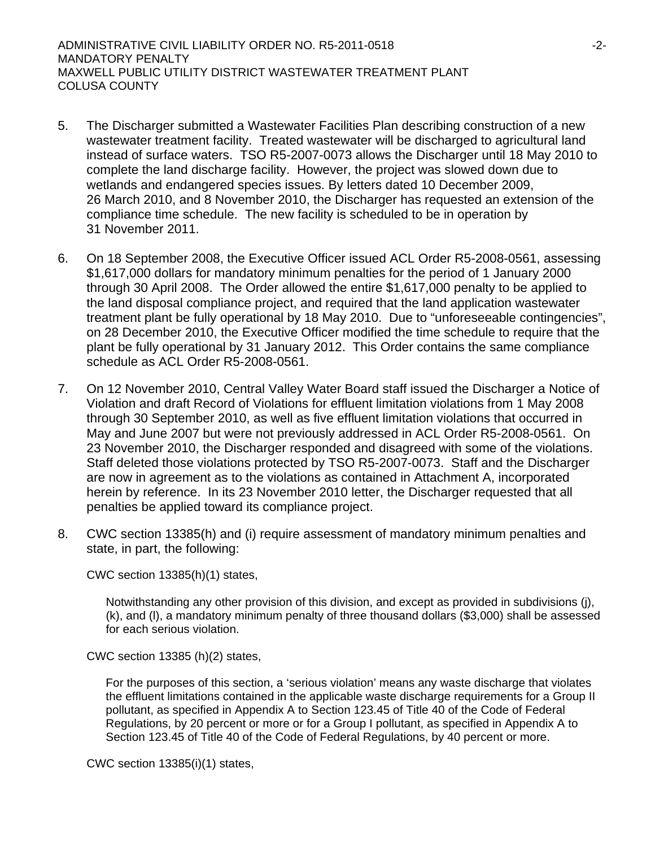ADMINISTRATIVE CIVIL LIABILITY ORDER NO. R5-2011-0518 -2- MANDATORY PENALTY MAXWELL PUBLIC UTILITY DISTRICT WASTEWATER TREATMENT PLANT COLUSA COUNTY

- 5. The Discharger submitted a Wastewater Facilities Plan describing construction of a new wastewater treatment facility. Treated wastewater will be discharged to agricultural land instead of surface waters. TSO R5-2007-0073 allows the Discharger until 18 May 2010 to complete the land discharge facility. However, the project was slowed down due to wetlands and endangered species issues. By letters dated 10 December 2009, 26 March 2010, and 8 November 2010, the Discharger has requested an extension of the compliance time schedule. The new facility is scheduled to be in operation by 31 November 2011.
- 6. On 18 September 2008, the Executive Officer issued ACL Order R5-2008-0561, assessing \$1,617,000 dollars for mandatory minimum penalties for the period of 1 January 2000 through 30 April 2008. The Order allowed the entire \$1,617,000 penalty to be applied to the land disposal compliance project, and required that the land application wastewater treatment plant be fully operational by 18 May 2010. Due to "unforeseeable contingencies", on 28 December 2010, the Executive Officer modified the time schedule to require that the plant be fully operational by 31 January 2012. This Order contains the same compliance schedule as ACL Order R5-2008-0561.
- 7. On 12 November 2010, Central Valley Water Board staff issued the Discharger a Notice of Violation and draft Record of Violations for effluent limitation violations from 1 May 2008 through 30 September 2010, as well as five effluent limitation violations that occurred in May and June 2007 but were not previously addressed in ACL Order R5-2008-0561. On 23 November 2010, the Discharger responded and disagreed with some of the violations. Staff deleted those violations protected by TSO R5-2007-0073. Staff and the Discharger are now in agreement as to the violations as contained in Attachment A, incorporated herein by reference. In its 23 November 2010 letter, the Discharger requested that all penalties be applied toward its compliance project.
- 8. CWC section 13385(h) and (i) require assessment of mandatory minimum penalties and state, in part, the following:

CWC section 13385(h)(1) states,

Notwithstanding any other provision of this division, and except as provided in subdivisions (j), (k), and (l), a mandatory minimum penalty of three thousand dollars (\$3,000) shall be assessed for each serious violation.

CWC section 13385 (h)(2) states,

For the purposes of this section, a 'serious violation' means any waste discharge that violates the effluent limitations contained in the applicable waste discharge requirements for a Group II pollutant, as specified in Appendix A to Section 123.45 of Title 40 of the Code of Federal Regulations, by 20 percent or more or for a Group I pollutant, as specified in Appendix A to Section 123.45 of Title 40 of the Code of Federal Regulations, by 40 percent or more.

CWC section 13385(i)(1) states,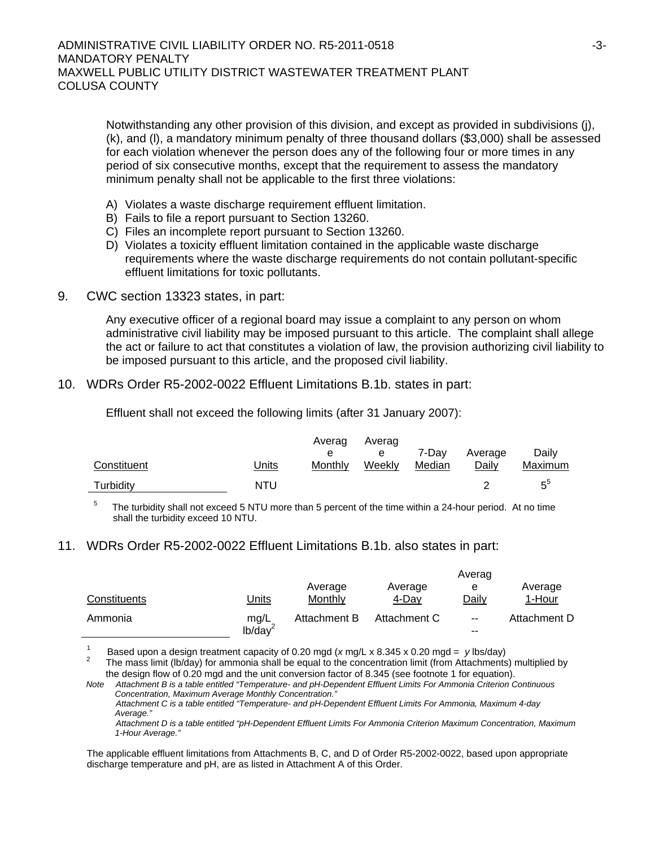Notwithstanding any other provision of this division, and except as provided in subdivisions (j), (k), and (l), a mandatory minimum penalty of three thousand dollars (\$3,000) shall be assessed for each violation whenever the person does any of the following four or more times in any period of six consecutive months, except that the requirement to assess the mandatory minimum penalty shall not be applicable to the first three violations:

- A) Violates a waste discharge requirement effluent limitation.
- B) Fails to file a report pursuant to Section 13260.
- C) Files an incomplete report pursuant to Section 13260.
- D) Violates a toxicity effluent limitation contained in the applicable waste discharge requirements where the waste discharge requirements do not contain pollutant-specific effluent limitations for toxic pollutants.
- 9. CWC section 13323 states, in part:

Any executive officer of a regional board may issue a complaint to any person on whom administrative civil liability may be imposed pursuant to this article. The complaint shall allege the act or failure to act that constitutes a violation of law, the provision authorizing civil liability to be imposed pursuant to this article, and the proposed civil liability.

#### 10. WDRs Order R5-2002-0022 Effluent Limitations B.1b. states in part:

Effluent shall not exceed the following limits (after 31 January 2007):

|             |       | Averag  | Averag | 7-Dav  | Average | Dailv   |
|-------------|-------|---------|--------|--------|---------|---------|
| Constituent | Units | Monthly | Weekly | Median | Daily   | Maximum |
| Turbidity   | NTU   |         |        |        |         | π°      |

5 The turbidity shall not exceed 5 NTU more than 5 percent of the time within a 24-hour period. At no time shall the turbidity exceed 10 NTU.

#### 11. WDRs Order R5-2002-0022 Effluent Limitations B.1b. also states in part:

|              |                     |              |              | Averag                   |              |
|--------------|---------------------|--------------|--------------|--------------------------|--------------|
|              |                     | Average      | Average      | е                        | Average      |
| Constituents | Units               | Monthly      | 4-Day        | Daily                    | 1-Hour       |
| Ammonia      | mg/L                | Attachment B | Attachment C | $\overline{\phantom{a}}$ | Attachment D |
|              | lb/day <sup>2</sup> |              |              | --                       |              |

1 Based upon a design treatment capacity of 0.20 mgd (*x* mg/L x 8.345 x 0.20 mgd = *y* lbs/day) 2

 The mass limit (lb/day) for ammonia shall be equal to the concentration limit (from Attachments) multiplied by the design flow of 0.20 mgd and the unit conversion factor of 8.345 (see footnote 1 for equation).

*Note Attachment B is a table entitled "Temperature- and pH-Dependent Effluent Limits For Ammonia Criterion Continuous Concentration, Maximum Average Monthly Concentration." Attachment C is a table entitled "Temperature- and pH-Dependent Effluent Limits For Ammonia, Maximum 4-day Average."* 

 *Attachment D is a table entitled "pH-Dependent Effluent Limits For Ammonia Criterion Maximum Concentration, Maximum 1-Hour Average."*

The applicable effluent limitations from Attachments B, C, and D of Order R5-2002-0022, based upon appropriate discharge temperature and pH, are as listed in Attachment A of this Order.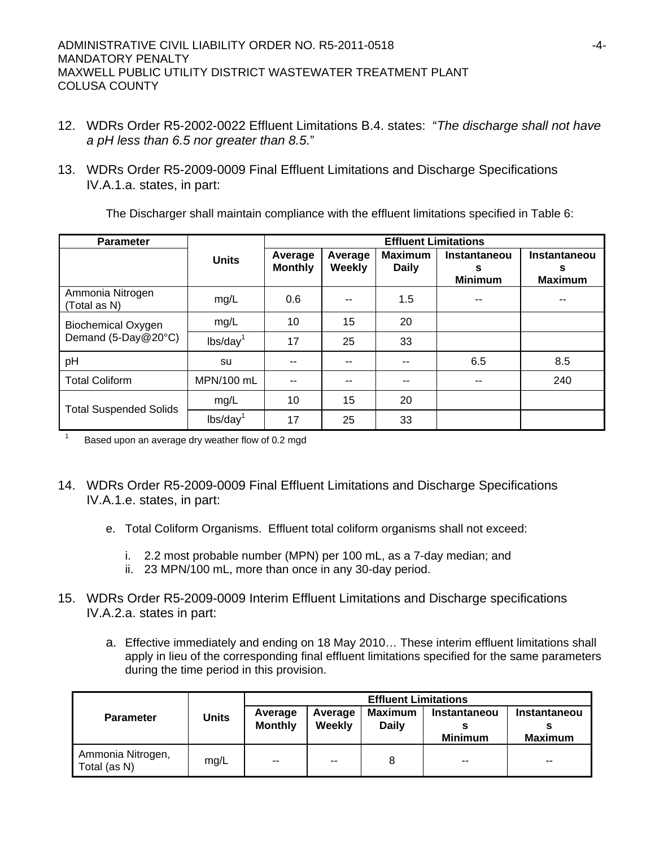- 12. WDRs Order R5-2002-0022 Effluent Limitations B.4. states: "*The discharge shall not have a pH less than 6.5 nor greater than 8.5.*"
- 13. WDRs Order R5-2009-0009 Final Effluent Limitations and Discharge Specifications IV.A.1.a. states, in part:

The Discharger shall maintain compliance with the effluent limitations specified in Table 6:

| <b>Parameter</b>                                 |                      | <b>Effluent Limitations</b> |                   |                                |                                            |                                            |
|--------------------------------------------------|----------------------|-----------------------------|-------------------|--------------------------------|--------------------------------------------|--------------------------------------------|
|                                                  | <b>Units</b>         | Average<br><b>Monthly</b>   | Average<br>Weekly | <b>Maximum</b><br><b>Daily</b> | <b>Instantaneou</b><br>s<br><b>Minimum</b> | <b>Instantaneou</b><br>s<br><b>Maximum</b> |
| Ammonia Nitrogen<br>(Total as N)                 | mg/L                 | 0.6                         |                   | 1.5                            |                                            |                                            |
| <b>Biochemical Oxygen</b><br>Demand (5-Day@20°C) | mg/L                 | 10                          | 15                | 20                             |                                            |                                            |
|                                                  | lbs/day <sup>1</sup> | 17                          | 25                | 33                             |                                            |                                            |
| pH                                               | su                   |                             |                   | --                             | 6.5                                        | 8.5                                        |
| <b>Total Coliform</b>                            | MPN/100 mL           | --                          |                   | --                             | --                                         | 240                                        |
| <b>Total Suspended Solids</b>                    | mg/L                 | 10                          | 15                | 20                             |                                            |                                            |
|                                                  | $\text{lbs/day}^1$   | 17                          | 25                | 33                             |                                            |                                            |

<sup>1</sup> Based upon an average dry weather flow of 0.2 mgd

- 14. WDRs Order R5-2009-0009 Final Effluent Limitations and Discharge Specifications IV.A.1.e. states, in part:
	- e. Total Coliform Organisms. Effluent total coliform organisms shall not exceed:
		- i. 2.2 most probable number (MPN) per 100 mL, as a 7-day median; and
		- ii. 23 MPN/100 mL, more than once in any 30-day period.
- 15. WDRs Order R5-2009-0009 Interim Effluent Limitations and Discharge specifications IV.A.2.a. states in part:
	- a. Effective immediately and ending on 18 May 2010… These interim effluent limitations shall apply in lieu of the corresponding final effluent limitations specified for the same parameters during the time period in this provision.

|                                   |              | <b>Effluent Limitations</b> |                   |                                |                                       |                                       |  |  |
|-----------------------------------|--------------|-----------------------------|-------------------|--------------------------------|---------------------------------------|---------------------------------------|--|--|
| <b>Parameter</b>                  | <b>Units</b> | Average<br><b>Monthly</b>   | Average<br>Weekly | <b>Maximum</b><br><b>Daily</b> | <b>Instantaneou</b><br><b>Minimum</b> | <b>Instantaneou</b><br><b>Maximum</b> |  |  |
| Ammonia Nitrogen,<br>Total (as N) | mg/L         | $-$                         | $-$               | 8                              | $-$                                   | $-$                                   |  |  |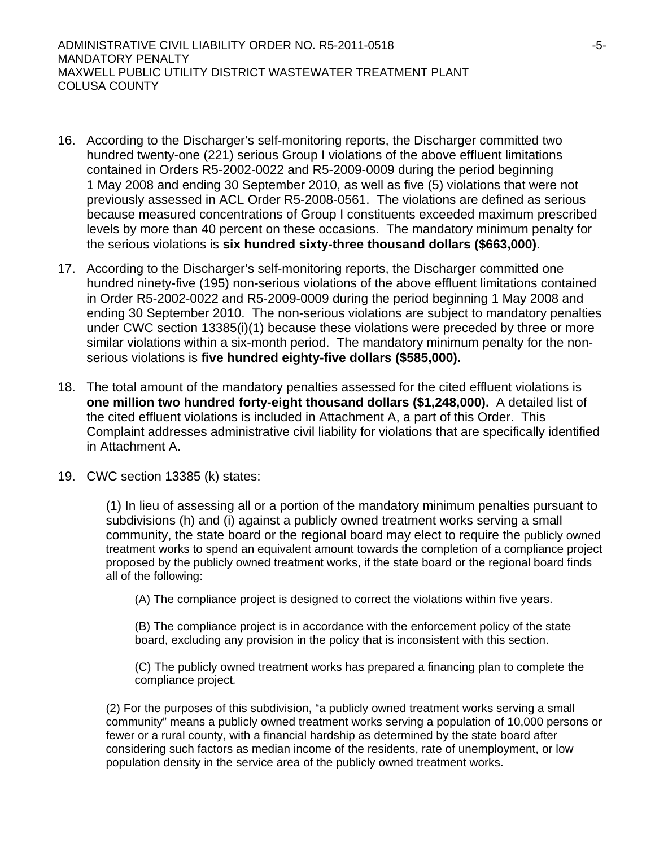ADMINISTRATIVE CIVIL LIABILITY ORDER NO. R5-2011-0518 -5- MANDATORY PENALTY MAXWELL PUBLIC UTILITY DISTRICT WASTEWATER TREATMENT PLANT COLUSA COUNTY

- 16. According to the Discharger's self-monitoring reports, the Discharger committed two hundred twenty-one (221) serious Group I violations of the above effluent limitations contained in Orders R5-2002-0022 and R5-2009-0009 during the period beginning 1 May 2008 and ending 30 September 2010, as well as five (5) violations that were not previously assessed in ACL Order R5-2008-0561. The violations are defined as serious because measured concentrations of Group I constituents exceeded maximum prescribed levels by more than 40 percent on these occasions. The mandatory minimum penalty for the serious violations is **six hundred sixty-three thousand dollars (\$663,000)**.
- 17. According to the Discharger's self-monitoring reports, the Discharger committed one hundred ninety-five (195) non-serious violations of the above effluent limitations contained in Order R5-2002-0022 and R5-2009-0009 during the period beginning 1 May 2008 and ending 30 September 2010. The non-serious violations are subject to mandatory penalties under CWC section 13385(i)(1) because these violations were preceded by three or more similar violations within a six-month period. The mandatory minimum penalty for the nonserious violations is **five hundred eighty-five dollars (\$585,000).**
- 18. The total amount of the mandatory penalties assessed for the cited effluent violations is **one million two hundred forty-eight thousand dollars (\$1,248,000).** A detailed list of the cited effluent violations is included in Attachment A, a part of this Order. This Complaint addresses administrative civil liability for violations that are specifically identified in Attachment A.
- 19. CWC section 13385 (k) states:

(1) In lieu of assessing all or a portion of the mandatory minimum penalties pursuant to subdivisions (h) and (i) against a publicly owned treatment works serving a small community, the state board or the regional board may elect to require the publicly owned treatment works to spend an equivalent amount towards the completion of a compliance project proposed by the publicly owned treatment works, if the state board or the regional board finds all of the following:

(A) The compliance project is designed to correct the violations within five years.

(B) The compliance project is in accordance with the enforcement policy of the state board, excluding any provision in the policy that is inconsistent with this section.

(C) The publicly owned treatment works has prepared a financing plan to complete the compliance project*.* 

(2) For the purposes of this subdivision, "a publicly owned treatment works serving a small community" means a publicly owned treatment works serving a population of 10,000 persons or fewer or a rural county, with a financial hardship as determined by the state board after considering such factors as median income of the residents, rate of unemployment, or low population density in the service area of the publicly owned treatment works.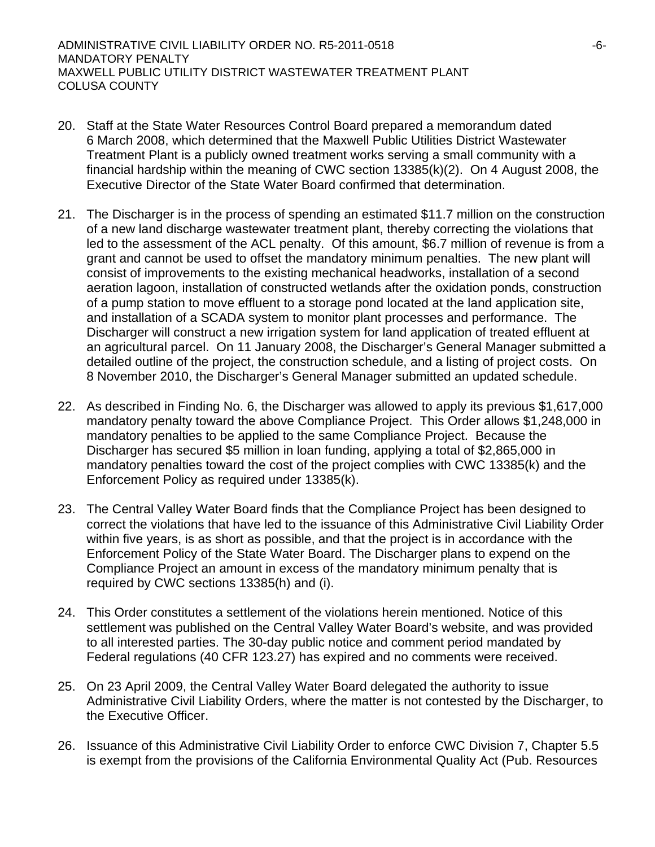- 20. Staff at the State Water Resources Control Board prepared a memorandum dated 6 March 2008, which determined that the Maxwell Public Utilities District Wastewater Treatment Plant is a publicly owned treatment works serving a small community with a financial hardship within the meaning of CWC section 13385(k)(2). On 4 August 2008, the Executive Director of the State Water Board confirmed that determination.
- 21. The Discharger is in the process of spending an estimated \$11.7 million on the construction of a new land discharge wastewater treatment plant, thereby correcting the violations that led to the assessment of the ACL penalty. Of this amount, \$6.7 million of revenue is from a grant and cannot be used to offset the mandatory minimum penalties. The new plant will consist of improvements to the existing mechanical headworks, installation of a second aeration lagoon, installation of constructed wetlands after the oxidation ponds, construction of a pump station to move effluent to a storage pond located at the land application site, and installation of a SCADA system to monitor plant processes and performance. The Discharger will construct a new irrigation system for land application of treated effluent at an agricultural parcel. On 11 January 2008, the Discharger's General Manager submitted a detailed outline of the project, the construction schedule, and a listing of project costs. On 8 November 2010, the Discharger's General Manager submitted an updated schedule.
- 22. As described in Finding No. 6, the Discharger was allowed to apply its previous \$1,617,000 mandatory penalty toward the above Compliance Project. This Order allows \$1,248,000 in mandatory penalties to be applied to the same Compliance Project. Because the Discharger has secured \$5 million in loan funding, applying a total of \$2,865,000 in mandatory penalties toward the cost of the project complies with CWC 13385(k) and the Enforcement Policy as required under 13385(k).
- 23. The Central Valley Water Board finds that the Compliance Project has been designed to correct the violations that have led to the issuance of this Administrative Civil Liability Order within five years, is as short as possible, and that the project is in accordance with the Enforcement Policy of the State Water Board. The Discharger plans to expend on the Compliance Project an amount in excess of the mandatory minimum penalty that is required by CWC sections 13385(h) and (i).
- 24. This Order constitutes a settlement of the violations herein mentioned. Notice of this settlement was published on the Central Valley Water Board's website, and was provided to all interested parties. The 30-day public notice and comment period mandated by Federal regulations (40 CFR 123.27) has expired and no comments were received.
- 25. On 23 April 2009, the Central Valley Water Board delegated the authority to issue Administrative Civil Liability Orders, where the matter is not contested by the Discharger, to the Executive Officer.
- 26. Issuance of this Administrative Civil Liability Order to enforce CWC Division 7, Chapter 5.5 is exempt from the provisions of the California Environmental Quality Act (Pub. Resources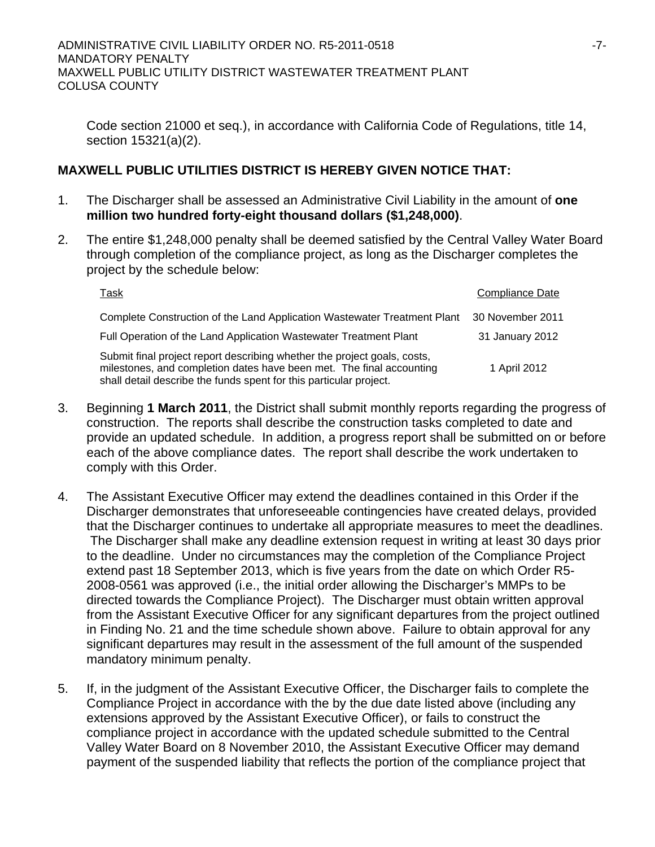Code section 21000 et seq.), in accordance with California Code of Regulations, title 14, section 15321(a)(2).

# **MAXWELL PUBLIC UTILITIES DISTRICT IS HEREBY GIVEN NOTICE THAT:**

- 1. The Discharger shall be assessed an Administrative Civil Liability in the amount of **one million two hundred forty-eight thousand dollars (\$1,248,000)**.
- 2. The entire \$1,248,000 penalty shall be deemed satisfied by the Central Valley Water Board through completion of the compliance project, as long as the Discharger completes the project by the schedule below:

| Task                                                                                                                                                                                                                   | Compliance Date  |  |
|------------------------------------------------------------------------------------------------------------------------------------------------------------------------------------------------------------------------|------------------|--|
| Complete Construction of the Land Application Wastewater Treatment Plant                                                                                                                                               | 30 November 2011 |  |
| Full Operation of the Land Application Wastewater Treatment Plant                                                                                                                                                      | 31 January 2012  |  |
| Submit final project report describing whether the project goals, costs,<br>milestones, and completion dates have been met. The final accounting<br>shall detail describe the funds spent for this particular project. | 1 April 2012     |  |

- 3. Beginning **1 March 2011**, the District shall submit monthly reports regarding the progress of construction. The reports shall describe the construction tasks completed to date and provide an updated schedule. In addition, a progress report shall be submitted on or before each of the above compliance dates. The report shall describe the work undertaken to comply with this Order.
- 4. The Assistant Executive Officer may extend the deadlines contained in this Order if the Discharger demonstrates that unforeseeable contingencies have created delays, provided that the Discharger continues to undertake all appropriate measures to meet the deadlines. The Discharger shall make any deadline extension request in writing at least 30 days prior to the deadline. Under no circumstances may the completion of the Compliance Project extend past 18 September 2013, which is five years from the date on which Order R5- 2008-0561 was approved (i.e., the initial order allowing the Discharger's MMPs to be directed towards the Compliance Project). The Discharger must obtain written approval from the Assistant Executive Officer for any significant departures from the project outlined in Finding No. 21 and the time schedule shown above. Failure to obtain approval for any significant departures may result in the assessment of the full amount of the suspended mandatory minimum penalty.
- 5. If, in the judgment of the Assistant Executive Officer, the Discharger fails to complete the Compliance Project in accordance with the by the due date listed above (including any extensions approved by the Assistant Executive Officer), or fails to construct the compliance project in accordance with the updated schedule submitted to the Central Valley Water Board on 8 November 2010, the Assistant Executive Officer may demand payment of the suspended liability that reflects the portion of the compliance project that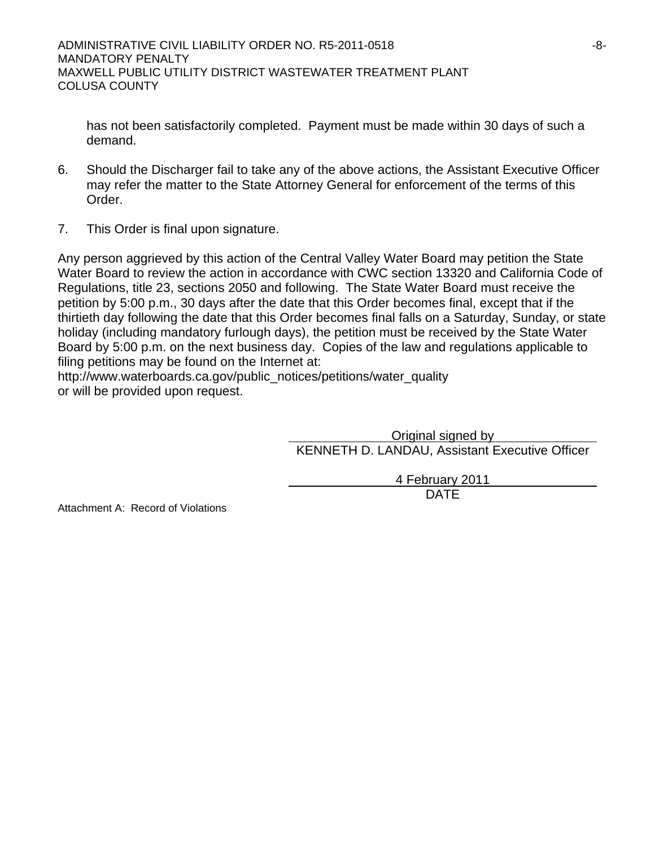has not been satisfactorily completed. Payment must be made within 30 days of such a demand.

- 6. Should the Discharger fail to take any of the above actions, the Assistant Executive Officer may refer the matter to the State Attorney General for enforcement of the terms of this Order.
- 7. This Order is final upon signature.

Any person aggrieved by this action of the Central Valley Water Board may petition the State Water Board to review the action in accordance with CWC section 13320 and California Code of Regulations, title 23, sections 2050 and following. The State Water Board must receive the petition by 5:00 p.m., 30 days after the date that this Order becomes final, except that if the thirtieth day following the date that this Order becomes final falls on a Saturday, Sunday, or state holiday (including mandatory furlough days), the petition must be received by the State Water Board by 5:00 p.m. on the next business day. Copies of the law and regulations applicable to filing petitions may be found on the Internet at:

http://www.waterboards.ca.gov/public\_notices/petitions/water\_quality or will be provided upon request.

> Original signed by KENNETH D. LANDAU, Assistant Executive Officer

4 February 2011 design and the contract of the contract of the DATE of the contract of the contract of the contract of the contract of the contract of the contract of the contract of the contract of the contract of the contract of the con

Attachment A: Record of Violations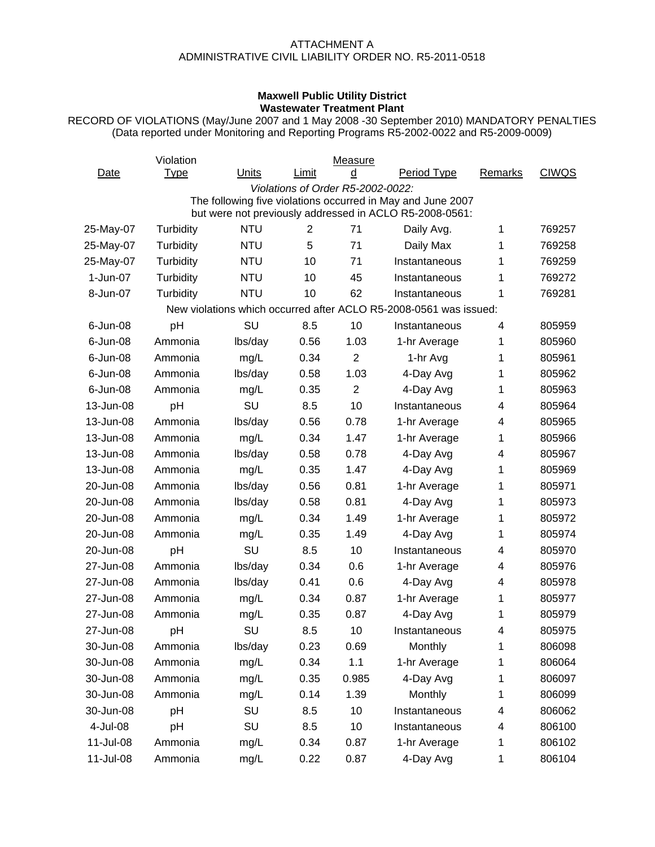## ATTACHMENT A ADMINISTRATIVE CIVIL LIABILITY ORDER NO. R5-2011-0518

## **Maxwell Public Utility District Wastewater Treatment Plant**

RECORD OF VIOLATIONS (May/June 2007 and 1 May 2008 -30 September 2010) MANDATORY PENALTIES (Data reported under Monitoring and Reporting Programs R5-2002-0022 and R5-2009-0009)

|                                                                   | Violation   |            |                                   | Measure        |                                                                                                                        |         |              |  |  |  |
|-------------------------------------------------------------------|-------------|------------|-----------------------------------|----------------|------------------------------------------------------------------------------------------------------------------------|---------|--------------|--|--|--|
| Date                                                              | <b>Type</b> | Units      | Limit                             | d              | <b>Period Type</b>                                                                                                     | Remarks | <b>CIWQS</b> |  |  |  |
|                                                                   |             |            | Violations of Order R5-2002-0022: |                |                                                                                                                        |         |              |  |  |  |
|                                                                   |             |            |                                   |                | The following five violations occurred in May and June 2007<br>but were not previously addressed in ACLO R5-2008-0561: |         |              |  |  |  |
| 25-May-07                                                         | Turbidity   | <b>NTU</b> | 2                                 | 71             | Daily Avg.                                                                                                             | 1       | 769257       |  |  |  |
| 25-May-07                                                         | Turbidity   | <b>NTU</b> | 5                                 | 71             | Daily Max                                                                                                              | 1       | 769258       |  |  |  |
| 25-May-07                                                         | Turbidity   | <b>NTU</b> | 10                                | 71             | Instantaneous                                                                                                          | 1       | 769259       |  |  |  |
| 1-Jun-07                                                          | Turbidity   | <b>NTU</b> | 10                                | 45             | Instantaneous                                                                                                          | 1       | 769272       |  |  |  |
| 8-Jun-07                                                          | Turbidity   | <b>NTU</b> | 10                                | 62             | Instantaneous                                                                                                          | 1       | 769281       |  |  |  |
| New violations which occurred after ACLO R5-2008-0561 was issued: |             |            |                                   |                |                                                                                                                        |         |              |  |  |  |
| 6-Jun-08                                                          | pH          | SU         | 8.5                               | 10             | Instantaneous                                                                                                          | 4       | 805959       |  |  |  |
| 6-Jun-08                                                          | Ammonia     | lbs/day    | 0.56                              | 1.03           | 1-hr Average                                                                                                           | 1       | 805960       |  |  |  |
| 6-Jun-08                                                          | Ammonia     | mg/L       | 0.34                              | $\overline{2}$ | 1-hr Avg                                                                                                               | 1       | 805961       |  |  |  |
| 6-Jun-08                                                          | Ammonia     | lbs/day    | 0.58                              | 1.03           | 4-Day Avg                                                                                                              | 1       | 805962       |  |  |  |
| 6-Jun-08                                                          | Ammonia     | mg/L       | 0.35                              | $\overline{2}$ | 4-Day Avg                                                                                                              | 1       | 805963       |  |  |  |
| 13-Jun-08                                                         | pH          | SU         | 8.5                               | 10             | Instantaneous                                                                                                          | 4       | 805964       |  |  |  |
| 13-Jun-08                                                         | Ammonia     | lbs/day    | 0.56                              | 0.78           | 1-hr Average                                                                                                           | 4       | 805965       |  |  |  |
| 13-Jun-08                                                         | Ammonia     | mg/L       | 0.34                              | 1.47           | 1-hr Average                                                                                                           | 1       | 805966       |  |  |  |
| 13-Jun-08                                                         | Ammonia     | lbs/day    | 0.58                              | 0.78           | 4-Day Avg                                                                                                              | 4       | 805967       |  |  |  |
| 13-Jun-08                                                         | Ammonia     | mg/L       | 0.35                              | 1.47           | 4-Day Avg                                                                                                              | 1       | 805969       |  |  |  |
| 20-Jun-08                                                         | Ammonia     | lbs/day    | 0.56                              | 0.81           | 1-hr Average                                                                                                           | 1       | 805971       |  |  |  |
| 20-Jun-08                                                         | Ammonia     | lbs/day    | 0.58                              | 0.81           | 4-Day Avg                                                                                                              | 1       | 805973       |  |  |  |
| 20-Jun-08                                                         | Ammonia     | mg/L       | 0.34                              | 1.49           | 1-hr Average                                                                                                           | 1       | 805972       |  |  |  |
| 20-Jun-08                                                         | Ammonia     | mg/L       | 0.35                              | 1.49           | 4-Day Avg                                                                                                              | 1       | 805974       |  |  |  |
| 20-Jun-08                                                         | pH          | SU         | 8.5                               | 10             | Instantaneous                                                                                                          | 4       | 805970       |  |  |  |
| 27-Jun-08                                                         | Ammonia     | lbs/day    | 0.34                              | 0.6            | 1-hr Average                                                                                                           | 4       | 805976       |  |  |  |
| 27-Jun-08                                                         | Ammonia     | lbs/day    | 0.41                              | 0.6            | 4-Day Avg                                                                                                              | 4       | 805978       |  |  |  |
| 27-Jun-08                                                         | Ammonia     | mg/L       | 0.34                              | 0.87           | 1-hr Average                                                                                                           | 1       | 805977       |  |  |  |
| 27-Jun-08                                                         | Ammonia     | mg/L       | 0.35                              | 0.87           | 4-Day Avg                                                                                                              | 1       | 805979       |  |  |  |
| 27-Jun-08                                                         | pH          | SU         | 8.5                               | 10             | Instantaneous                                                                                                          | 4       | 805975       |  |  |  |
| 30-Jun-08                                                         | Ammonia     | lbs/day    | 0.23                              | 0.69           | Monthly                                                                                                                | 1       | 806098       |  |  |  |
| 30-Jun-08                                                         | Ammonia     | mg/L       | 0.34                              | 1.1            | 1-hr Average                                                                                                           | 1       | 806064       |  |  |  |
| 30-Jun-08                                                         | Ammonia     | mg/L       | 0.35                              | 0.985          | 4-Day Avg                                                                                                              | 1       | 806097       |  |  |  |
| 30-Jun-08                                                         | Ammonia     | mg/L       | 0.14                              | 1.39           | Monthly                                                                                                                | 1       | 806099       |  |  |  |
| 30-Jun-08                                                         | pH          | SU         | 8.5                               | 10             | Instantaneous                                                                                                          | 4       | 806062       |  |  |  |
| 4-Jul-08                                                          | pH          | SU         | 8.5                               | 10             | Instantaneous                                                                                                          | 4       | 806100       |  |  |  |
| 11-Jul-08                                                         | Ammonia     | mg/L       | 0.34                              | 0.87           | 1-hr Average                                                                                                           | 1       | 806102       |  |  |  |
| 11-Jul-08                                                         | Ammonia     | mg/L       | 0.22                              | 0.87           | 4-Day Avg                                                                                                              | 1       | 806104       |  |  |  |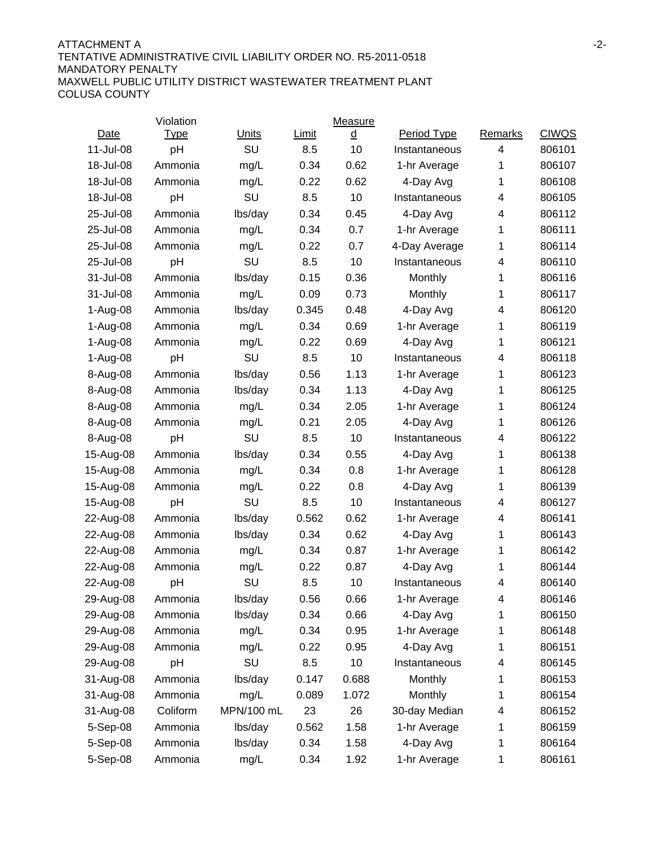#### ATTACHMENT A -2- TENTATIVE ADMINISTRATIVE CIVIL LIABILITY ORDER NO. R5-2011-0518 MANDATORY PENALTY MAXWELL PUBLIC UTILITY DISTRICT WASTEWATER TREATMENT PLANT COLUSA COUNTY

|           | Violation   |              |       | Measure        |               |         |              |
|-----------|-------------|--------------|-------|----------------|---------------|---------|--------------|
| Date      | <u>Type</u> | <b>Units</b> | Limit | $\overline{a}$ | Period Type   | Remarks | <b>CIWQS</b> |
| 11-Jul-08 | pH          | SU           | 8.5   | 10             | Instantaneous | 4       | 806101       |
| 18-Jul-08 | Ammonia     | mg/L         | 0.34  | 0.62           | 1-hr Average  | 1       | 806107       |
| 18-Jul-08 | Ammonia     | mg/L         | 0.22  | 0.62           | 4-Day Avg     | 1       | 806108       |
| 18-Jul-08 | pH          | SU           | 8.5   | 10             | Instantaneous | 4       | 806105       |
| 25-Jul-08 | Ammonia     | lbs/day      | 0.34  | 0.45           | 4-Day Avg     | 4       | 806112       |
| 25-Jul-08 | Ammonia     | mg/L         | 0.34  | 0.7            | 1-hr Average  | 1       | 806111       |
| 25-Jul-08 | Ammonia     | mg/L         | 0.22  | 0.7            | 4-Day Average | 1       | 806114       |
| 25-Jul-08 | pH          | SU           | 8.5   | 10             | Instantaneous | 4       | 806110       |
| 31-Jul-08 | Ammonia     | lbs/day      | 0.15  | 0.36           | Monthly       | 1       | 806116       |
| 31-Jul-08 | Ammonia     | mg/L         | 0.09  | 0.73           | Monthly       | 1       | 806117       |
| 1-Aug-08  | Ammonia     | lbs/day      | 0.345 | 0.48           | 4-Day Avg     | 4       | 806120       |
| 1-Aug-08  | Ammonia     | mg/L         | 0.34  | 0.69           | 1-hr Average  | 1       | 806119       |
| 1-Aug-08  | Ammonia     | mg/L         | 0.22  | 0.69           | 4-Day Avg     | 1       | 806121       |
| 1-Aug-08  | pH          | SU           | 8.5   | 10             | Instantaneous | 4       | 806118       |
| 8-Aug-08  | Ammonia     | lbs/day      | 0.56  | 1.13           | 1-hr Average  | 1       | 806123       |
| 8-Aug-08  | Ammonia     | lbs/day      | 0.34  | 1.13           | 4-Day Avg     | 1       | 806125       |
| 8-Aug-08  | Ammonia     | mg/L         | 0.34  | 2.05           | 1-hr Average  | 1       | 806124       |
| 8-Aug-08  | Ammonia     | mg/L         | 0.21  | 2.05           | 4-Day Avg     | 1       | 806126       |
| 8-Aug-08  | pH          | SU           | 8.5   | 10             | Instantaneous | 4       | 806122       |
| 15-Aug-08 | Ammonia     | lbs/day      | 0.34  | 0.55           | 4-Day Avg     | 1       | 806138       |
| 15-Aug-08 | Ammonia     | mg/L         | 0.34  | 0.8            | 1-hr Average  | 1       | 806128       |
| 15-Aug-08 | Ammonia     | mg/L         | 0.22  | 0.8            | 4-Day Avg     | 1       | 806139       |
| 15-Aug-08 | pH          | SU           | 8.5   | 10             | Instantaneous | 4       | 806127       |
| 22-Aug-08 | Ammonia     | lbs/day      | 0.562 | 0.62           | 1-hr Average  | 4       | 806141       |
| 22-Aug-08 | Ammonia     | lbs/day      | 0.34  | 0.62           | 4-Day Avg     | 1       | 806143       |
| 22-Aug-08 | Ammonia     | mg/L         | 0.34  | 0.87           | 1-hr Average  | 1       | 806142       |
| 22-Aug-08 | Ammonia     | mg/L         | 0.22  | 0.87           | 4-Day Avg     | 1       | 806144       |
| 22-Aug-08 | pH          | SU           | 8.5   | 10             | Instantaneous | 4       | 806140       |
| 29-Aug-08 | Ammonia     | lbs/day      | 0.56  | 0.66           | 1-hr Average  | 4       | 806146       |
| 29-Aug-08 | Ammonia     | lbs/day      | 0.34  | 0.66           | 4-Day Avg     |         | 806150       |
| 29-Aug-08 | Ammonia     | mg/L         | 0.34  | 0.95           | 1-hr Average  | 1       | 806148       |
| 29-Aug-08 | Ammonia     | mg/L         | 0.22  | 0.95           | 4-Day Avg     | 1       | 806151       |
| 29-Aug-08 | pH          | SU           | 8.5   | 10             | Instantaneous | 4       | 806145       |
| 31-Aug-08 | Ammonia     | lbs/day      | 0.147 | 0.688          | Monthly       | 1       | 806153       |
| 31-Aug-08 | Ammonia     | mg/L         | 0.089 | 1.072          | Monthly       | 1       | 806154       |
| 31-Aug-08 | Coliform    | MPN/100 mL   | 23    | 26             | 30-day Median | 4       | 806152       |
| 5-Sep-08  | Ammonia     | lbs/day      | 0.562 | 1.58           | 1-hr Average  | 1       | 806159       |
| 5-Sep-08  | Ammonia     | lbs/day      | 0.34  | 1.58           | 4-Day Avg     | 1       | 806164       |
| 5-Sep-08  | Ammonia     | mg/L         | 0.34  | 1.92           | 1-hr Average  | 1       | 806161       |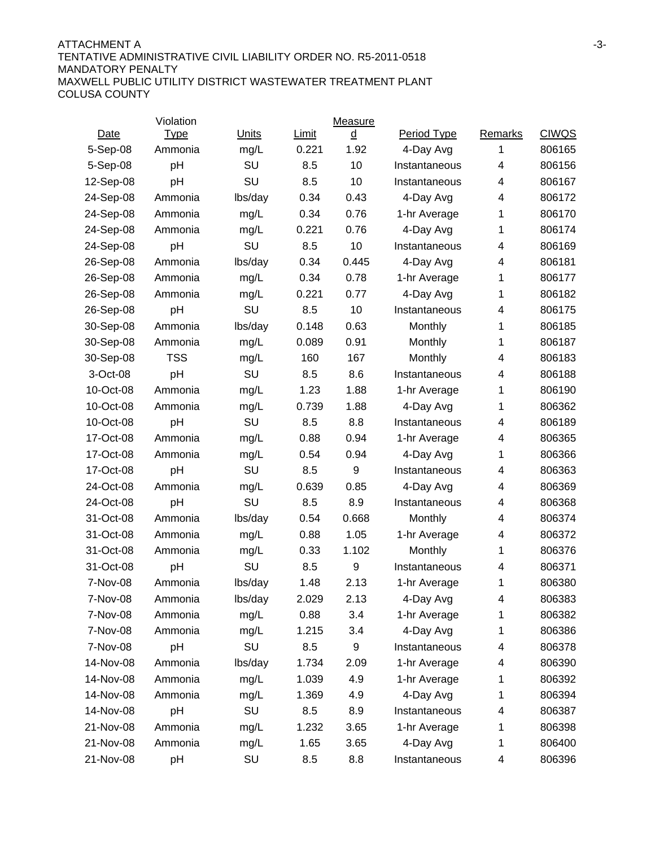#### ATTACHMENT A FIRE AND THE SERIES AND THE SERIES OF THE SERIES OF A SERIES AND THE SERIES OF A SERIES OF A SERIES OF A SERIES OF A SERIES OF A SERIES OF A SERIES OF A SERIES OF A SERIES OF A SERIES OF A SERIES OF A SERIES O TENTATIVE ADMINISTRATIVE CIVIL LIABILITY ORDER NO. R5-2011-0518 MANDATORY PENALTY MAXWELL PUBLIC UTILITY DISTRICT WASTEWATER TREATMENT PLANT COLUSA COUNTY

|           | Violation   |              |       | Measure          |                    |                |              |
|-----------|-------------|--------------|-------|------------------|--------------------|----------------|--------------|
| Date      | <u>Type</u> | <b>Units</b> | Limit | ₫                | <b>Period Type</b> | <b>Remarks</b> | <b>CIWQS</b> |
| 5-Sep-08  | Ammonia     | mg/L         | 0.221 | 1.92             | 4-Day Avg          | 1              | 806165       |
| 5-Sep-08  | pH          | SU           | 8.5   | 10               | Instantaneous      | 4              | 806156       |
| 12-Sep-08 | pH          | SU           | 8.5   | 10               | Instantaneous      | 4              | 806167       |
| 24-Sep-08 | Ammonia     | lbs/day      | 0.34  | 0.43             | 4-Day Avg          | 4              | 806172       |
| 24-Sep-08 | Ammonia     | mg/L         | 0.34  | 0.76             | 1-hr Average       | 1              | 806170       |
| 24-Sep-08 | Ammonia     | mg/L         | 0.221 | 0.76             | 4-Day Avg          | 1              | 806174       |
| 24-Sep-08 | pH          | SU           | 8.5   | 10               | Instantaneous      | 4              | 806169       |
| 26-Sep-08 | Ammonia     | lbs/day      | 0.34  | 0.445            | 4-Day Avg          | 4              | 806181       |
| 26-Sep-08 | Ammonia     | mg/L         | 0.34  | 0.78             | 1-hr Average       | 1              | 806177       |
| 26-Sep-08 | Ammonia     | mg/L         | 0.221 | 0.77             | 4-Day Avg          | 1              | 806182       |
| 26-Sep-08 | pH          | SU           | 8.5   | 10               | Instantaneous      | 4              | 806175       |
| 30-Sep-08 | Ammonia     | lbs/day      | 0.148 | 0.63             | Monthly            | 1              | 806185       |
| 30-Sep-08 | Ammonia     | mg/L         | 0.089 | 0.91             | Monthly            | 1              | 806187       |
| 30-Sep-08 | <b>TSS</b>  | mg/L         | 160   | 167              | Monthly            | 4              | 806183       |
| 3-Oct-08  | pH          | SU           | 8.5   | 8.6              | Instantaneous      | 4              | 806188       |
| 10-Oct-08 | Ammonia     | mg/L         | 1.23  | 1.88             | 1-hr Average       | 1              | 806190       |
| 10-Oct-08 | Ammonia     | mg/L         | 0.739 | 1.88             | 4-Day Avg          | 1              | 806362       |
| 10-Oct-08 | pH          | SU           | 8.5   | 8.8              | Instantaneous      | 4              | 806189       |
| 17-Oct-08 | Ammonia     | mg/L         | 0.88  | 0.94             | 1-hr Average       | 4              | 806365       |
| 17-Oct-08 | Ammonia     | mg/L         | 0.54  | 0.94             | 4-Day Avg          | 1              | 806366       |
| 17-Oct-08 | pH          | SU           | 8.5   | 9                | Instantaneous      | 4              | 806363       |
| 24-Oct-08 | Ammonia     | mg/L         | 0.639 | 0.85             | 4-Day Avg          | 4              | 806369       |
| 24-Oct-08 | рH          | SU           | 8.5   | 8.9              | Instantaneous      | 4              | 806368       |
| 31-Oct-08 | Ammonia     | lbs/day      | 0.54  | 0.668            | Monthly            | 4              | 806374       |
| 31-Oct-08 | Ammonia     | mg/L         | 0.88  | 1.05             | 1-hr Average       | 4              | 806372       |
| 31-Oct-08 | Ammonia     | mg/L         | 0.33  | 1.102            | Monthly            | 1              | 806376       |
| 31-Oct-08 | рH          | SU           | 8.5   | $\boldsymbol{9}$ | Instantaneous      | 4              | 806371       |
| 7-Nov-08  | Ammonia     | lbs/day      | 1.48  | 2.13             | 1-hr Average       | 1              | 806380       |
| 7-Nov-08  | Ammonia     | lbs/day      | 2.029 | 2.13             | 4-Day Avg          | 4              | 806383       |
| 7-Nov-08  | Ammonia     | mg/L         | 0.88  | 3.4              | 1-hr Average       |                | 806382       |
| 7-Nov-08  | Ammonia     | mg/L         | 1.215 | 3.4              | 4-Day Avg          | 1              | 806386       |
| 7-Nov-08  | pH          | SU           | 8.5   | 9                | Instantaneous      | 4              | 806378       |
| 14-Nov-08 | Ammonia     | lbs/day      | 1.734 | 2.09             | 1-hr Average       | 4              | 806390       |
| 14-Nov-08 | Ammonia     | mg/L         | 1.039 | 4.9              | 1-hr Average       | 1              | 806392       |
| 14-Nov-08 | Ammonia     | mg/L         | 1.369 | 4.9              | 4-Day Avg          | 1              | 806394       |
| 14-Nov-08 | pH          | SU           | 8.5   | 8.9              | Instantaneous      | 4              | 806387       |
| 21-Nov-08 | Ammonia     | mg/L         | 1.232 | 3.65             | 1-hr Average       | 1              | 806398       |
| 21-Nov-08 | Ammonia     | mg/L         | 1.65  | 3.65             | 4-Day Avg          | 1              | 806400       |
| 21-Nov-08 | pH          | SU           | 8.5   | 8.8              | Instantaneous      | 4              | 806396       |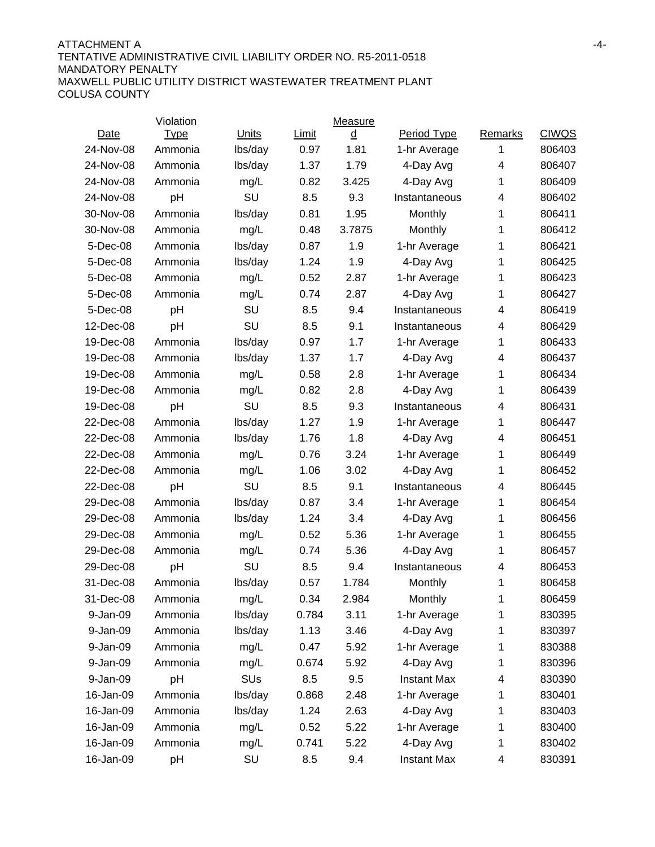#### ATTACHMENT A -4- TENTATIVE ADMINISTRATIVE CIVIL LIABILITY ORDER NO. R5-2011-0518 MANDATORY PENALTY MAXWELL PUBLIC UTILITY DISTRICT WASTEWATER TREATMENT PLANT COLUSA COUNTY

|           | Violation   |         |              | Measure  |                    |         |              |
|-----------|-------------|---------|--------------|----------|--------------------|---------|--------------|
| Date      | <b>Type</b> | Units   | <b>Limit</b> | <u>d</u> | Period Type        | Remarks | <b>CIWQS</b> |
| 24-Nov-08 | Ammonia     | lbs/day | 0.97         | 1.81     | 1-hr Average       | 1       | 806403       |
| 24-Nov-08 | Ammonia     | lbs/day | 1.37         | 1.79     | 4-Day Avg          | 4       | 806407       |
| 24-Nov-08 | Ammonia     | mg/L    | 0.82         | 3.425    | 4-Day Avg          | 1       | 806409       |
| 24-Nov-08 | pH          | SU      | 8.5          | 9.3      | Instantaneous      | 4       | 806402       |
| 30-Nov-08 | Ammonia     | lbs/day | 0.81         | 1.95     | Monthly            | 1       | 806411       |
| 30-Nov-08 | Ammonia     | mg/L    | 0.48         | 3.7875   | Monthly            | 1       | 806412       |
| 5-Dec-08  | Ammonia     | lbs/day | 0.87         | 1.9      | 1-hr Average       | 1       | 806421       |
| 5-Dec-08  | Ammonia     | lbs/day | 1.24         | 1.9      | 4-Day Avg          | 1       | 806425       |
| 5-Dec-08  | Ammonia     | mg/L    | 0.52         | 2.87     | 1-hr Average       | 1       | 806423       |
| 5-Dec-08  | Ammonia     | mg/L    | 0.74         | 2.87     | 4-Day Avg          | 1       | 806427       |
| 5-Dec-08  | pH          | SU      | 8.5          | 9.4      | Instantaneous      | 4       | 806419       |
| 12-Dec-08 | pH          | SU      | 8.5          | 9.1      | Instantaneous      | 4       | 806429       |
| 19-Dec-08 | Ammonia     | lbs/day | 0.97         | 1.7      | 1-hr Average       | 1       | 806433       |
| 19-Dec-08 | Ammonia     | lbs/day | 1.37         | 1.7      | 4-Day Avg          | 4       | 806437       |
| 19-Dec-08 | Ammonia     | mg/L    | 0.58         | 2.8      | 1-hr Average       | 1       | 806434       |
| 19-Dec-08 | Ammonia     | mg/L    | 0.82         | 2.8      | 4-Day Avg          | 1       | 806439       |
| 19-Dec-08 | pH          | SU      | 8.5          | 9.3      | Instantaneous      | 4       | 806431       |
| 22-Dec-08 | Ammonia     | lbs/day | 1.27         | 1.9      | 1-hr Average       | 1       | 806447       |
| 22-Dec-08 | Ammonia     | lbs/day | 1.76         | 1.8      | 4-Day Avg          | 4       | 806451       |
| 22-Dec-08 | Ammonia     | mg/L    | 0.76         | 3.24     | 1-hr Average       | 1       | 806449       |
| 22-Dec-08 | Ammonia     | mg/L    | 1.06         | 3.02     | 4-Day Avg          | 1       | 806452       |
| 22-Dec-08 | рH          | SU      | 8.5          | 9.1      | Instantaneous      | 4       | 806445       |
| 29-Dec-08 | Ammonia     | lbs/day | 0.87         | 3.4      | 1-hr Average       | 1       | 806454       |
| 29-Dec-08 | Ammonia     | lbs/day | 1.24         | 3.4      | 4-Day Avg          | 1       | 806456       |
| 29-Dec-08 | Ammonia     | mg/L    | 0.52         | 5.36     | 1-hr Average       | 1       | 806455       |
| 29-Dec-08 | Ammonia     | mg/L    | 0.74         | 5.36     | 4-Day Avg          | 1       | 806457       |
| 29-Dec-08 | pH          | SU      | 8.5          | 9.4      | Instantaneous      | 4       | 806453       |
| 31-Dec-08 | Ammonia     | lbs/day | 0.57         | 1.784    | Monthly            | 1       | 806458       |
| 31-Dec-08 | Ammonia     | mg/L    | 0.34         | 2.984    | Monthly            | 1       | 806459       |
| 9-Jan-09  | Ammonia     | lbs/day | 0.784        | 3.11     | 1-hr Average       | 1       | 830395       |
| 9-Jan-09  | Ammonia     | lbs/day | 1.13         | 3.46     | 4-Day Avg          | 1       | 830397       |
| 9-Jan-09  | Ammonia     | mg/L    | 0.47         | 5.92     | 1-hr Average       | 1       | 830388       |
| 9-Jan-09  | Ammonia     | mg/L    | 0.674        | 5.92     | 4-Day Avg          | 1       | 830396       |
| 9-Jan-09  | pH          | SUs     | 8.5          | 9.5      | <b>Instant Max</b> | 4       | 830390       |
| 16-Jan-09 | Ammonia     | lbs/day | 0.868        | 2.48     | 1-hr Average       | 1       | 830401       |
| 16-Jan-09 | Ammonia     | lbs/day | 1.24         | 2.63     | 4-Day Avg          | 1       | 830403       |
| 16-Jan-09 | Ammonia     | mg/L    | 0.52         | 5.22     | 1-hr Average       | 1       | 830400       |
| 16-Jan-09 | Ammonia     | mg/L    | 0.741        | 5.22     | 4-Day Avg          | 1       | 830402       |
| 16-Jan-09 | pH          | SU      | 8.5          | 9.4      | <b>Instant Max</b> | 4       | 830391       |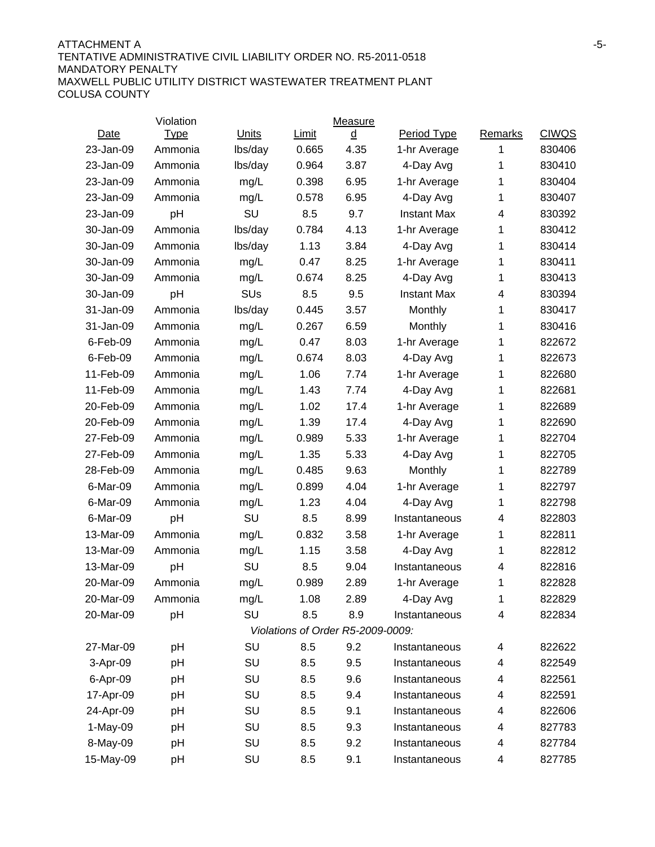#### ATTACHMENT A FINISHED AND THE SERVICE OF THE SERVICE OF THE SERVICE OF THE SERVICE OF THE SERVICE OF THE SERVICE OF THE SERVICE OF THE SERVICE OF THE SERVICE OF THE SERVICE OF THE SERVICE OF THE SERVICE OF THE SERVICE OF T TENTATIVE ADMINISTRATIVE CIVIL LIABILITY ORDER NO. R5-2011-0518 MANDATORY PENALTY MAXWELL PUBLIC UTILITY DISTRICT WASTEWATER TREATMENT PLANT COLUSA COUNTY

|            | Violation   |         |       | Measure                           |                    |         |              |
|------------|-------------|---------|-------|-----------------------------------|--------------------|---------|--------------|
| Date       | <b>Type</b> | Units   | Limit | <u>d</u>                          | Period Type        | Remarks | <b>CIWQS</b> |
| 23-Jan-09  | Ammonia     | lbs/day | 0.665 | 4.35                              | 1-hr Average       | 1       | 830406       |
| 23-Jan-09  | Ammonia     | lbs/day | 0.964 | 3.87                              | 4-Day Avg          | 1       | 830410       |
| 23-Jan-09  | Ammonia     | mg/L    | 0.398 | 6.95                              | 1-hr Average       | 1       | 830404       |
| 23-Jan-09  | Ammonia     | mg/L    | 0.578 | 6.95                              | 4-Day Avg          | 1       | 830407       |
| 23-Jan-09  | pH          | SU      | 8.5   | 9.7                               | <b>Instant Max</b> | 4       | 830392       |
| 30-Jan-09  | Ammonia     | lbs/day | 0.784 | 4.13                              | 1-hr Average       | 1       | 830412       |
| 30-Jan-09  | Ammonia     | lbs/day | 1.13  | 3.84                              | 4-Day Avg          | 1       | 830414       |
| 30-Jan-09  | Ammonia     | mg/L    | 0.47  | 8.25                              | 1-hr Average       | 1       | 830411       |
| 30-Jan-09  | Ammonia     | mg/L    | 0.674 | 8.25                              | 4-Day Avg          | 1       | 830413       |
| 30-Jan-09  | pH          | SUs     | 8.5   | 9.5                               | <b>Instant Max</b> | 4       | 830394       |
| 31-Jan-09  | Ammonia     | lbs/day | 0.445 | 3.57                              | Monthly            | 1       | 830417       |
| 31-Jan-09  | Ammonia     | mg/L    | 0.267 | 6.59                              | Monthly            | 1       | 830416       |
| 6-Feb-09   | Ammonia     | mg/L    | 0.47  | 8.03                              | 1-hr Average       | 1       | 822672       |
| 6-Feb-09   | Ammonia     | mg/L    | 0.674 | 8.03                              | 4-Day Avg          | 1       | 822673       |
| 11-Feb-09  | Ammonia     | mg/L    | 1.06  | 7.74                              | 1-hr Average       | 1       | 822680       |
| 11-Feb-09  | Ammonia     | mg/L    | 1.43  | 7.74                              | 4-Day Avg          | 1       | 822681       |
| 20-Feb-09  | Ammonia     | mg/L    | 1.02  | 17.4                              | 1-hr Average       | 1       | 822689       |
| 20-Feb-09  | Ammonia     | mg/L    | 1.39  | 17.4                              | 4-Day Avg          | 1       | 822690       |
| 27-Feb-09  | Ammonia     | mg/L    | 0.989 | 5.33                              | 1-hr Average       | 1       | 822704       |
| 27-Feb-09  | Ammonia     | mg/L    | 1.35  | 5.33                              | 4-Day Avg          | 1       | 822705       |
| 28-Feb-09  | Ammonia     | mg/L    | 0.485 | 9.63                              | Monthly            | 1       | 822789       |
| 6-Mar-09   | Ammonia     | mg/L    | 0.899 | 4.04                              | 1-hr Average       | 1       | 822797       |
| 6-Mar-09   | Ammonia     | mg/L    | 1.23  | 4.04                              | 4-Day Avg          | 1       | 822798       |
| 6-Mar-09   | pH          | SU      | 8.5   | 8.99                              | Instantaneous      | 4       | 822803       |
| 13-Mar-09  | Ammonia     | mg/L    | 0.832 | 3.58                              | 1-hr Average       | 1       | 822811       |
| 13-Mar-09  | Ammonia     | mg/L    | 1.15  | 3.58                              | 4-Day Avg          | 1       | 822812       |
| 13-Mar-09  | pH          | SU      | 8.5   | 9.04                              | Instantaneous      | 4       | 822816       |
| 20-Mar-09  | Ammonia     | mg/L    | 0.989 | 2.89                              | 1-hr Average       | 1       | 822828       |
| 20-Mar-09  | Ammonia     | mg/L    | 1.08  | 2.89                              | 4-Day Avg          | 1       | 822829       |
| 20-Mar-09  | pH          | SU      | 8.5   | 8.9                               | Instantaneous      | 4       | 822834       |
|            |             |         |       | Violations of Order R5-2009-0009: |                    |         |              |
| 27-Mar-09  | рH          | SU      | 8.5   | 9.2                               | Instantaneous      | 4       | 822622       |
| 3-Apr-09   | рH          | SU      | 8.5   | 9.5                               | Instantaneous      | 4       | 822549       |
| 6-Apr-09   | pH          | SU      | 8.5   | 9.6                               | Instantaneous      | 4       | 822561       |
| 17-Apr-09  | рH          | SU      | 8.5   | 9.4                               | Instantaneous      | 4       | 822591       |
| 24-Apr-09  | рH          | SU      | 8.5   | 9.1                               | Instantaneous      | 4       | 822606       |
| $1-May-09$ | рH          | SU      | 8.5   | 9.3                               | Instantaneous      | 4       | 827783       |
| 8-May-09   | рH          | SU      | 8.5   | 9.2                               | Instantaneous      | 4       | 827784       |
| 15-May-09  | рH          | SU      | 8.5   | 9.1                               | Instantaneous      | 4       | 827785       |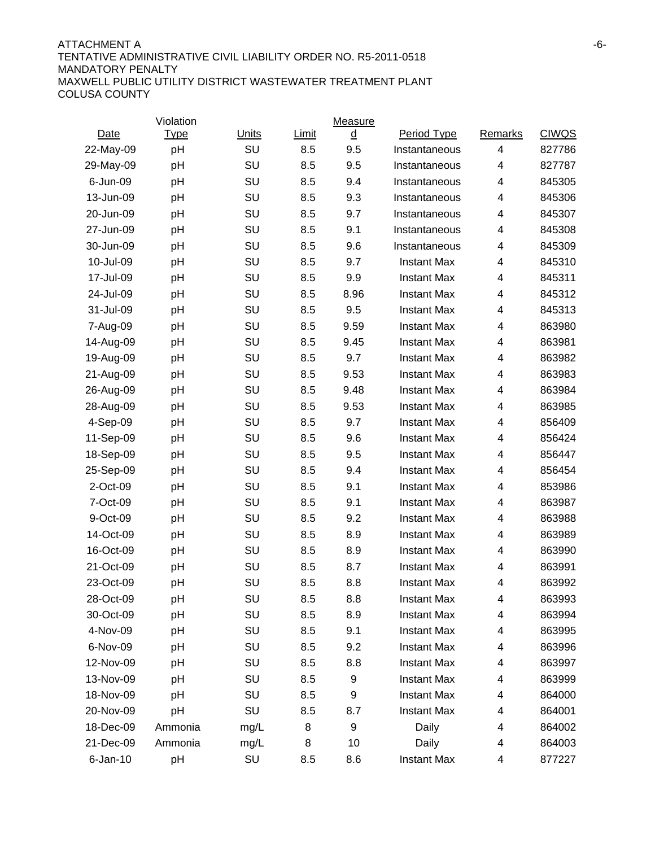#### ATTACHMENT A FINISHED AND THE SERVICE OF A SERVICE OF A SERVICE OF A SERVICE OF A SERVICE OF A SERVICE OF A SERVICE OF A SERVICE OF A SERVICE OF A SERVICE OF A SERVICE OF A SERVICE OF A SERVICE OF A SERVICE OF A SERVICE OF TENTATIVE ADMINISTRATIVE CIVIL LIABILITY ORDER NO. R5-2011-0518 MANDATORY PENALTY MAXWELL PUBLIC UTILITY DISTRICT WASTEWATER TREATMENT PLANT COLUSA COUNTY

|             | Violation   |              |       | Measure |                    |                |              |
|-------------|-------------|--------------|-------|---------|--------------------|----------------|--------------|
| Date        | <u>Type</u> | <b>Units</b> | Limit | ₫       | Period Type        | <b>Remarks</b> | <b>CIWQS</b> |
| 22-May-09   | pH          | SU           | 8.5   | 9.5     | Instantaneous      | 4              | 827786       |
| 29-May-09   | pH          | SU           | 8.5   | 9.5     | Instantaneous      | 4              | 827787       |
| 6-Jun-09    | pH          | SU           | 8.5   | 9.4     | Instantaneous      | 4              | 845305       |
| 13-Jun-09   | pH          | SU           | 8.5   | 9.3     | Instantaneous      | 4              | 845306       |
| 20-Jun-09   | pH          | SU           | 8.5   | 9.7     | Instantaneous      | 4              | 845307       |
| 27-Jun-09   | pH          | SU           | 8.5   | 9.1     | Instantaneous      | 4              | 845308       |
| 30-Jun-09   | pH          | SU           | 8.5   | 9.6     | Instantaneous      | 4              | 845309       |
| 10-Jul-09   | pH          | SU           | 8.5   | 9.7     | <b>Instant Max</b> | 4              | 845310       |
| 17-Jul-09   | pH          | SU           | 8.5   | 9.9     | <b>Instant Max</b> | 4              | 845311       |
| 24-Jul-09   | pH          | SU           | 8.5   | 8.96    | <b>Instant Max</b> | 4              | 845312       |
| 31-Jul-09   | pH          | SU           | 8.5   | 9.5     | <b>Instant Max</b> | 4              | 845313       |
| 7-Aug-09    | pH          | SU           | 8.5   | 9.59    | <b>Instant Max</b> | 4              | 863980       |
| 14-Aug-09   | pH          | SU           | 8.5   | 9.45    | <b>Instant Max</b> | 4              | 863981       |
| 19-Aug-09   | pH          | SU           | 8.5   | 9.7     | <b>Instant Max</b> | 4              | 863982       |
| 21-Aug-09   | pH          | SU           | 8.5   | 9.53    | <b>Instant Max</b> | 4              | 863983       |
| 26-Aug-09   | pH          | SU           | 8.5   | 9.48    | <b>Instant Max</b> | 4              | 863984       |
| 28-Aug-09   | pH          | SU           | 8.5   | 9.53    | <b>Instant Max</b> | 4              | 863985       |
| 4-Sep-09    | pH          | SU           | 8.5   | 9.7     | <b>Instant Max</b> | 4              | 856409       |
| 11-Sep-09   | pH          | SU           | 8.5   | 9.6     | <b>Instant Max</b> | 4              | 856424       |
| 18-Sep-09   | pH          | SU           | 8.5   | 9.5     | <b>Instant Max</b> | 4              | 856447       |
| 25-Sep-09   | pH          | SU           | 8.5   | 9.4     | <b>Instant Max</b> | 4              | 856454       |
| 2-Oct-09    | pH          | SU           | 8.5   | 9.1     | <b>Instant Max</b> | 4              | 853986       |
| 7-Oct-09    | pH          | SU           | 8.5   | 9.1     | <b>Instant Max</b> | 4              | 863987       |
| 9-Oct-09    | pH          | SU           | 8.5   | 9.2     | <b>Instant Max</b> | 4              | 863988       |
| 14-Oct-09   | pH          | SU           | 8.5   | 8.9     | <b>Instant Max</b> | 4              | 863989       |
| 16-Oct-09   | pH          | SU           | 8.5   | 8.9     | <b>Instant Max</b> | 4              | 863990       |
| 21-Oct-09   | pH          | SU           | 8.5   | 8.7     | <b>Instant Max</b> | 4              | 863991       |
| 23-Oct-09   | pH          | SU           | 8.5   | 8.8     | <b>Instant Max</b> | 4              | 863992       |
| 28-Oct-09   | pH          | SU           | 8.5   | 8.8     | <b>Instant Max</b> | 4              | 863993       |
| 30-Oct-09   | pH          | SU           | 8.5   | 8.9     | <b>Instant Max</b> | 4              | 863994       |
| 4-Nov-09    | рH          | SU           | 8.5   | 9.1     | <b>Instant Max</b> | 4              | 863995       |
| 6-Nov-09    | pH          | SU           | 8.5   | 9.2     | <b>Instant Max</b> | 4              | 863996       |
| 12-Nov-09   | рH          | SU           | 8.5   | 8.8     | <b>Instant Max</b> | 4              | 863997       |
| 13-Nov-09   | pH          | SU           | 8.5   | 9       | <b>Instant Max</b> | 4              | 863999       |
| 18-Nov-09   | pH          | SU           | 8.5   | 9       | <b>Instant Max</b> | 4              | 864000       |
| 20-Nov-09   | pH          | SU           | 8.5   | 8.7     | <b>Instant Max</b> | 4              | 864001       |
| 18-Dec-09   | Ammonia     | mg/L         | 8     | 9       | Daily              | 4              | 864002       |
| 21-Dec-09   | Ammonia     | mg/L         | 8     | 10      | Daily              | 4              | 864003       |
| $6$ -Jan-10 | pH          | SU           | 8.5   | 8.6     | <b>Instant Max</b> | 4              | 877227       |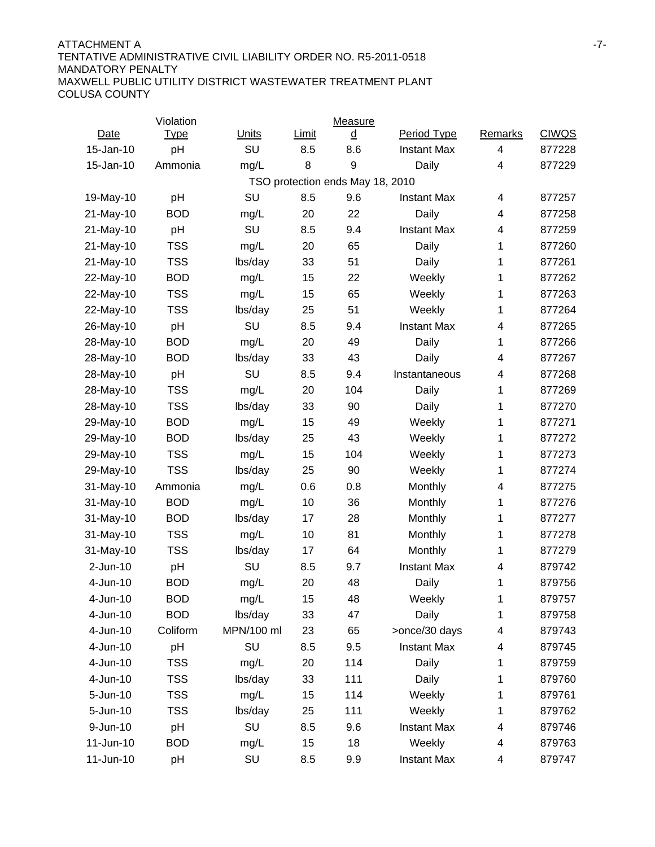#### ATTACHMENT A -7- TENTATIVE ADMINISTRATIVE CIVIL LIABILITY ORDER NO. R5-2011-0518 MANDATORY PENALTY MAXWELL PUBLIC UTILITY DISTRICT WASTEWATER TREATMENT PLANT COLUSA COUNTY

|             | Violation   |              |       | Measure                          |                    |                |              |
|-------------|-------------|--------------|-------|----------------------------------|--------------------|----------------|--------------|
| <b>Date</b> | <b>Type</b> | <b>Units</b> | Limit | ₫                                | Period Type        | <b>Remarks</b> | <b>CIWQS</b> |
| 15-Jan-10   | pH          | SU           | 8.5   | 8.6                              | <b>Instant Max</b> | 4              | 877228       |
| 15-Jan-10   | Ammonia     | mg/L         | 8     | 9                                | Daily              | 4              | 877229       |
|             |             |              |       | TSO protection ends May 18, 2010 |                    |                |              |
| 19-May-10   | pH          | SU           | 8.5   | 9.6                              | <b>Instant Max</b> | 4              | 877257       |
| 21-May-10   | <b>BOD</b>  | mg/L         | 20    | 22                               | Daily              | 4              | 877258       |
| 21-May-10   | pH          | SU           | 8.5   | 9.4                              | <b>Instant Max</b> | 4              | 877259       |
| 21-May-10   | <b>TSS</b>  | mg/L         | 20    | 65                               | Daily              | 1              | 877260       |
| 21-May-10   | <b>TSS</b>  | lbs/day      | 33    | 51                               | Daily              | 1              | 877261       |
| 22-May-10   | <b>BOD</b>  | mg/L         | 15    | 22                               | Weekly             | 1              | 877262       |
| 22-May-10   | <b>TSS</b>  | mg/L         | 15    | 65                               | Weekly             | 1              | 877263       |
| 22-May-10   | <b>TSS</b>  | lbs/day      | 25    | 51                               | Weekly             | 1              | 877264       |
| 26-May-10   | pH          | SU           | 8.5   | 9.4                              | <b>Instant Max</b> | 4              | 877265       |
| 28-May-10   | <b>BOD</b>  | mg/L         | 20    | 49                               | Daily              | 1              | 877266       |
| 28-May-10   | <b>BOD</b>  | lbs/day      | 33    | 43                               | Daily              | 4              | 877267       |
| 28-May-10   | pH          | SU           | 8.5   | 9.4                              | Instantaneous      | 4              | 877268       |
| 28-May-10   | <b>TSS</b>  | mg/L         | 20    | 104                              | Daily              | 1              | 877269       |
| 28-May-10   | <b>TSS</b>  | lbs/day      | 33    | 90                               | Daily              | 1              | 877270       |
| 29-May-10   | <b>BOD</b>  | mg/L         | 15    | 49                               | Weekly             | 1              | 877271       |
| 29-May-10   | <b>BOD</b>  | lbs/day      | 25    | 43                               | Weekly             | 1              | 877272       |
| 29-May-10   | <b>TSS</b>  | mg/L         | 15    | 104                              | Weekly             | 1              | 877273       |
| 29-May-10   | <b>TSS</b>  | lbs/day      | 25    | 90                               | Weekly             | 1              | 877274       |
| 31-May-10   | Ammonia     | mg/L         | 0.6   | 0.8                              | Monthly            | 4              | 877275       |
| 31-May-10   | <b>BOD</b>  | mg/L         | 10    | 36                               | Monthly            | 1              | 877276       |
| 31-May-10   | <b>BOD</b>  | lbs/day      | 17    | 28                               | Monthly            | 1              | 877277       |
| 31-May-10   | <b>TSS</b>  | mg/L         | 10    | 81                               | Monthly            | 1              | 877278       |
| 31-May-10   | <b>TSS</b>  | lbs/day      | 17    | 64                               | Monthly            | 1              | 877279       |
| $2-Jun-10$  | pH          | SU           | 8.5   | 9.7                              | <b>Instant Max</b> | 4              | 879742       |
| 4-Jun-10    | <b>BOD</b>  | mg/L         | 20    | 48                               | Daily              | 1              | 879756       |
| 4-Jun-10    | <b>BOD</b>  | mg/L         | 15    | 48                               | Weekly             | 1              | 879757       |
| 4-Jun-10    | <b>BOD</b>  | lbs/day      | 33    | 47                               | Daily              | 1              | 879758       |
| 4-Jun-10    | Coliform    | MPN/100 ml   | 23    | 65                               | >once/30 days      | 4              | 879743       |
| 4-Jun-10    | pH          | SU           | 8.5   | 9.5                              | <b>Instant Max</b> | 4              | 879745       |
| 4-Jun-10    | <b>TSS</b>  | mg/L         | 20    | 114                              | Daily              | 1              | 879759       |
| 4-Jun-10    | <b>TSS</b>  | lbs/day      | 33    | 111                              | Daily              | 1              | 879760       |
| 5-Jun-10    | <b>TSS</b>  | mg/L         | 15    | 114                              | Weekly             | 1              | 879761       |
| 5-Jun-10    | <b>TSS</b>  | lbs/day      | 25    | 111                              | Weekly             | 1              | 879762       |
| 9-Jun-10    | pH          | SU           | 8.5   | 9.6                              | <b>Instant Max</b> | 4              | 879746       |
| 11-Jun-10   | <b>BOD</b>  | mg/L         | 15    | 18                               | Weekly             | 4              | 879763       |
| 11-Jun-10   | pH          | SU           | 8.5   | 9.9                              | <b>Instant Max</b> | 4              | 879747       |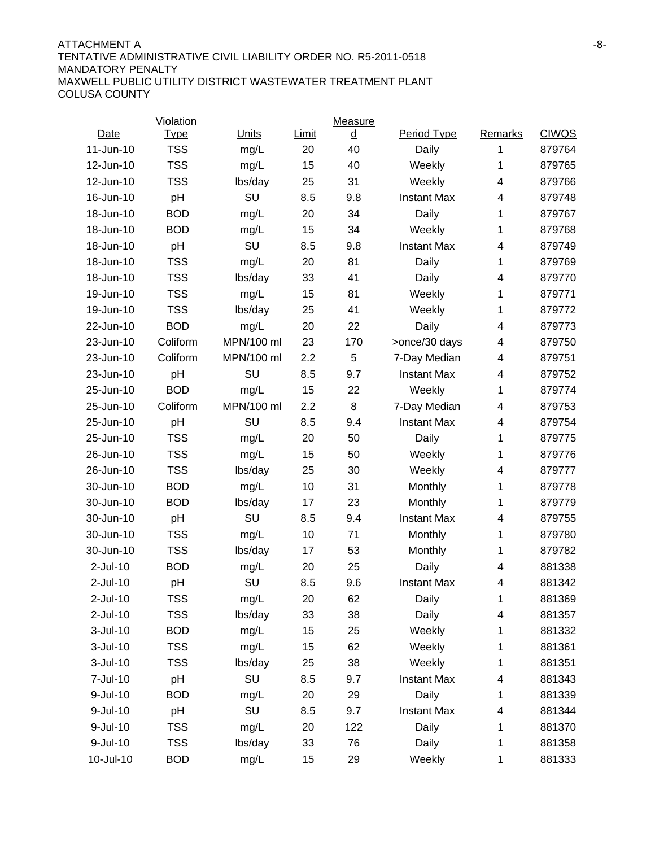#### ATTACHMENT A FAILLER AND THE SERVICE OF THE SERVICE OF THE SERVICE OF THE SERVICE OF THE SERVICE OF THE SERVICE OF THE SERVICE OF THE SERVICE OF THE SERVICE OF THE SERVICE OF THE SERVICE OF THE SERVICE OF THE SERVICE OF TH TENTATIVE ADMINISTRATIVE CIVIL LIABILITY ORDER NO. R5-2011-0518 MANDATORY PENALTY MAXWELL PUBLIC UTILITY DISTRICT WASTEWATER TREATMENT PLANT COLUSA COUNTY

|             | Violation   |            |       | Measure |                    |                |              |
|-------------|-------------|------------|-------|---------|--------------------|----------------|--------------|
| Date        | <b>Type</b> | Units      | Limit | ₫       | Period Type        | Remarks        | <b>CIWQS</b> |
| 11-Jun-10   | <b>TSS</b>  | mg/L       | 20    | 40      | Daily              | 1              | 879764       |
| 12-Jun-10   | <b>TSS</b>  | mg/L       | 15    | 40      | Weekly             | 1              | 879765       |
| 12-Jun-10   | <b>TSS</b>  | lbs/day    | 25    | 31      | Weekly             | 4              | 879766       |
| 16-Jun-10   | pH          | SU         | 8.5   | 9.8     | <b>Instant Max</b> | 4              | 879748       |
| 18-Jun-10   | <b>BOD</b>  | mg/L       | 20    | 34      | Daily              | 1              | 879767       |
| 18-Jun-10   | <b>BOD</b>  | mg/L       | 15    | 34      | Weekly             | 1              | 879768       |
| 18-Jun-10   | pH          | SU         | 8.5   | 9.8     | <b>Instant Max</b> | 4              | 879749       |
| 18-Jun-10   | <b>TSS</b>  | mg/L       | 20    | 81      | Daily              | 1              | 879769       |
| 18-Jun-10   | <b>TSS</b>  | lbs/day    | 33    | 41      | Daily              | 4              | 879770       |
| 19-Jun-10   | <b>TSS</b>  | mg/L       | 15    | 81      | Weekly             | 1              | 879771       |
| 19-Jun-10   | <b>TSS</b>  | lbs/day    | 25    | 41      | Weekly             | 1              | 879772       |
| 22-Jun-10   | <b>BOD</b>  | mg/L       | 20    | 22      | Daily              | 4              | 879773       |
| 23-Jun-10   | Coliform    | MPN/100 ml | 23    | 170     | >once/30 days      | 4              | 879750       |
| 23-Jun-10   | Coliform    | MPN/100 ml | 2.2   | 5       | 7-Day Median       | 4              | 879751       |
| 23-Jun-10   | pH          | SU         | 8.5   | 9.7     | <b>Instant Max</b> | $\overline{4}$ | 879752       |
| 25-Jun-10   | <b>BOD</b>  | mg/L       | 15    | 22      | Weekly             | 1              | 879774       |
| 25-Jun-10   | Coliform    | MPN/100 ml | 2.2   | 8       | 7-Day Median       | 4              | 879753       |
| 25-Jun-10   | pH          | SU         | 8.5   | 9.4     | <b>Instant Max</b> | 4              | 879754       |
| 25-Jun-10   | <b>TSS</b>  | mg/L       | 20    | 50      | Daily              | 1              | 879775       |
| 26-Jun-10   | <b>TSS</b>  | mg/L       | 15    | 50      | Weekly             | 1              | 879776       |
| 26-Jun-10   | <b>TSS</b>  | lbs/day    | 25    | 30      | Weekly             | 4              | 879777       |
| 30-Jun-10   | <b>BOD</b>  | mg/L       | 10    | 31      | Monthly            | 1              | 879778       |
| 30-Jun-10   | <b>BOD</b>  | lbs/day    | 17    | 23      | Monthly            | 1              | 879779       |
| 30-Jun-10   | pH          | SU         | 8.5   | 9.4     | <b>Instant Max</b> | 4              | 879755       |
| 30-Jun-10   | <b>TSS</b>  | mg/L       | 10    | 71      | Monthly            | 1              | 879780       |
| 30-Jun-10   | <b>TSS</b>  | lbs/day    | 17    | 53      | Monthly            | 1              | 879782       |
| $2$ -Jul-10 | <b>BOD</b>  | mg/L       | 20    | 25      | Daily              | $\overline{4}$ | 881338       |
| $2$ -Jul-10 | pH          | SU         | 8.5   | 9.6     | <b>Instant Max</b> | 4              | 881342       |
| $2$ -Jul-10 | <b>TSS</b>  | mg/L       | 20    | 62      | Daily              | 1              | 881369       |
| $2$ -Jul-10 | <b>TSS</b>  | lbs/day    | 33    | 38      | Daily              | 4              | 881357       |
| 3-Jul-10    | <b>BOD</b>  | mg/L       | 15    | 25      | Weekly             | 1              | 881332       |
| 3-Jul-10    | <b>TSS</b>  | mg/L       | 15    | 62      | Weekly             | 1              | 881361       |
| 3-Jul-10    | <b>TSS</b>  | lbs/day    | 25    | 38      | Weekly             | 1              | 881351       |
| 7-Jul-10    | pH          | SU         | 8.5   | 9.7     | <b>Instant Max</b> | 4              | 881343       |
| 9-Jul-10    | <b>BOD</b>  | mg/L       | 20    | 29      | Daily              | 1              | 881339       |
| 9-Jul-10    | pH          | SU         | 8.5   | 9.7     | <b>Instant Max</b> | 4              | 881344       |
| 9-Jul-10    | <b>TSS</b>  | mg/L       | 20    | 122     | Daily              | 1              | 881370       |
| 9-Jul-10    | <b>TSS</b>  | lbs/day    | 33    | 76      | Daily              | 1              | 881358       |
| 10-Jul-10   | <b>BOD</b>  | mg/L       | 15    | 29      | Weekly             | 1              | 881333       |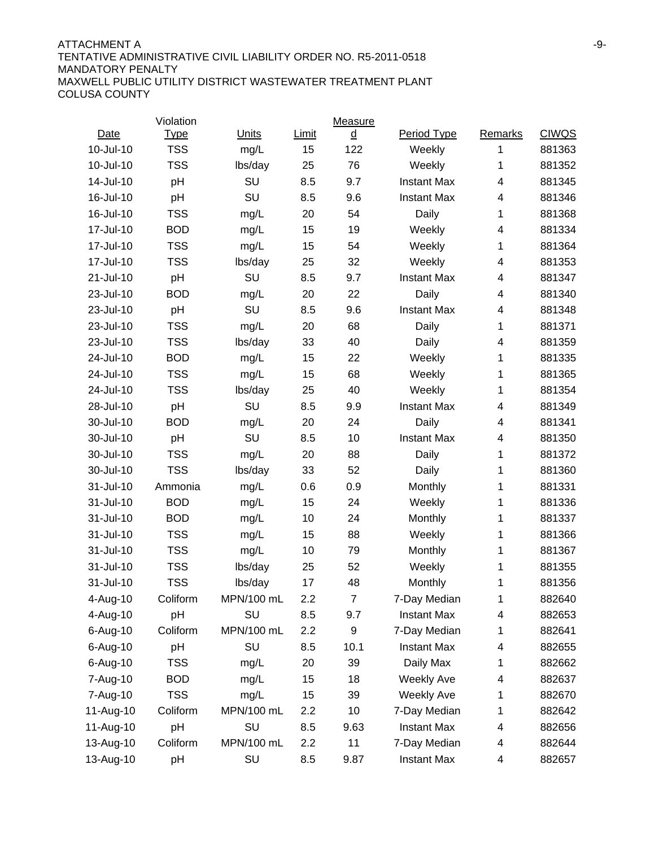#### ATTACHMENT A FINAL AND A SERIES AND A SERIES AND A SERIES AND A SERIES AND ASSESSMENT A FINAL ASSESSMENT ASSESSMENT ASSESSMENT ASSESSMENT ASSESSMENT ASSESSMENT ASSESSMENT ASSESSMENT ASSESSMENT ASSESSMENT ASSESSMENT ASSESSM TENTATIVE ADMINISTRATIVE CIVIL LIABILITY ORDER NO. R5-2011-0518 MANDATORY PENALTY MAXWELL PUBLIC UTILITY DISTRICT WASTEWATER TREATMENT PLANT COLUSA COUNTY

|           | Violation   |              |       | Measure        |                    |                |              |
|-----------|-------------|--------------|-------|----------------|--------------------|----------------|--------------|
| Date      | <b>Type</b> | <b>Units</b> | Limit | ₫              | Period Type        | <b>Remarks</b> | <b>CIWQS</b> |
| 10-Jul-10 | <b>TSS</b>  | mg/L         | 15    | 122            | Weekly             | 1              | 881363       |
| 10-Jul-10 | <b>TSS</b>  | lbs/day      | 25    | 76             | Weekly             | 1              | 881352       |
| 14-Jul-10 | pH          | SU           | 8.5   | 9.7            | <b>Instant Max</b> | 4              | 881345       |
| 16-Jul-10 | pH          | SU           | 8.5   | 9.6            | <b>Instant Max</b> | 4              | 881346       |
| 16-Jul-10 | <b>TSS</b>  | mg/L         | 20    | 54             | Daily              | 1              | 881368       |
| 17-Jul-10 | <b>BOD</b>  | mg/L         | 15    | 19             | Weekly             | 4              | 881334       |
| 17-Jul-10 | <b>TSS</b>  | mg/L         | 15    | 54             | Weekly             | 1              | 881364       |
| 17-Jul-10 | <b>TSS</b>  | lbs/day      | 25    | 32             | Weekly             | 4              | 881353       |
| 21-Jul-10 | pH          | SU           | 8.5   | 9.7            | <b>Instant Max</b> | 4              | 881347       |
| 23-Jul-10 | <b>BOD</b>  | mg/L         | 20    | 22             | Daily              | 4              | 881340       |
| 23-Jul-10 | pH          | SU           | 8.5   | 9.6            | <b>Instant Max</b> | 4              | 881348       |
| 23-Jul-10 | <b>TSS</b>  | mg/L         | 20    | 68             | Daily              | 1              | 881371       |
| 23-Jul-10 | <b>TSS</b>  | lbs/day      | 33    | 40             | Daily              | 4              | 881359       |
| 24-Jul-10 | <b>BOD</b>  | mg/L         | 15    | 22             | Weekly             | 1              | 881335       |
| 24-Jul-10 | <b>TSS</b>  | mg/L         | 15    | 68             | Weekly             | 1              | 881365       |
| 24-Jul-10 | <b>TSS</b>  | lbs/day      | 25    | 40             | Weekly             | 1              | 881354       |
| 28-Jul-10 | pH          | SU           | 8.5   | 9.9            | <b>Instant Max</b> | 4              | 881349       |
| 30-Jul-10 | <b>BOD</b>  | mg/L         | 20    | 24             | Daily              | 4              | 881341       |
| 30-Jul-10 | pH          | SU           | 8.5   | 10             | <b>Instant Max</b> | 4              | 881350       |
| 30-Jul-10 | <b>TSS</b>  | mg/L         | 20    | 88             | Daily              | 1              | 881372       |
| 30-Jul-10 | <b>TSS</b>  | lbs/day      | 33    | 52             | Daily              | 1              | 881360       |
| 31-Jul-10 | Ammonia     | mg/L         | 0.6   | 0.9            | Monthly            | 1              | 881331       |
| 31-Jul-10 | <b>BOD</b>  | mg/L         | 15    | 24             | Weekly             | 1              | 881336       |
| 31-Jul-10 | <b>BOD</b>  | mg/L         | 10    | 24             | Monthly            | 1              | 881337       |
| 31-Jul-10 | <b>TSS</b>  | mg/L         | 15    | 88             | Weekly             | 1              | 881366       |
| 31-Jul-10 | <b>TSS</b>  | mg/L         | 10    | 79             | Monthly            | 1              | 881367       |
| 31-Jul-10 | <b>TSS</b>  | lbs/day      | 25    | 52             | Weekly             | 1              | 881355       |
| 31-Jul-10 | <b>TSS</b>  | lbs/day      | 17    | 48             | Monthly            | 1              | 881356       |
| 4-Aug-10  | Coliform    | MPN/100 mL   | 2.2   | $\overline{7}$ | 7-Day Median       | 1              | 882640       |
| 4-Aug-10  | pH          | SU           | 8.5   | 9.7            | <b>Instant Max</b> | 4              | 882653       |
| 6-Aug-10  | Coliform    | MPN/100 mL   | 2.2   | 9              | 7-Day Median       | 1              | 882641       |
| 6-Aug-10  | pH          | SU           | 8.5   | 10.1           | <b>Instant Max</b> | 4              | 882655       |
| 6-Aug-10  | <b>TSS</b>  | mg/L         | 20    | 39             | Daily Max          | 1              | 882662       |
| 7-Aug-10  | <b>BOD</b>  | mg/L         | 15    | 18             | <b>Weekly Ave</b>  | 4              | 882637       |
| 7-Aug-10  | <b>TSS</b>  | mg/L         | 15    | 39             | <b>Weekly Ave</b>  | 1              | 882670       |
| 11-Aug-10 | Coliform    | MPN/100 mL   | 2.2   | 10             | 7-Day Median       | 1              | 882642       |
| 11-Aug-10 | pH          | SU           | 8.5   | 9.63           | <b>Instant Max</b> | 4              | 882656       |
| 13-Aug-10 | Coliform    | MPN/100 mL   | 2.2   | 11             | 7-Day Median       | 4              | 882644       |
| 13-Aug-10 | pH          | SU           | 8.5   | 9.87           | <b>Instant Max</b> | 4              | 882657       |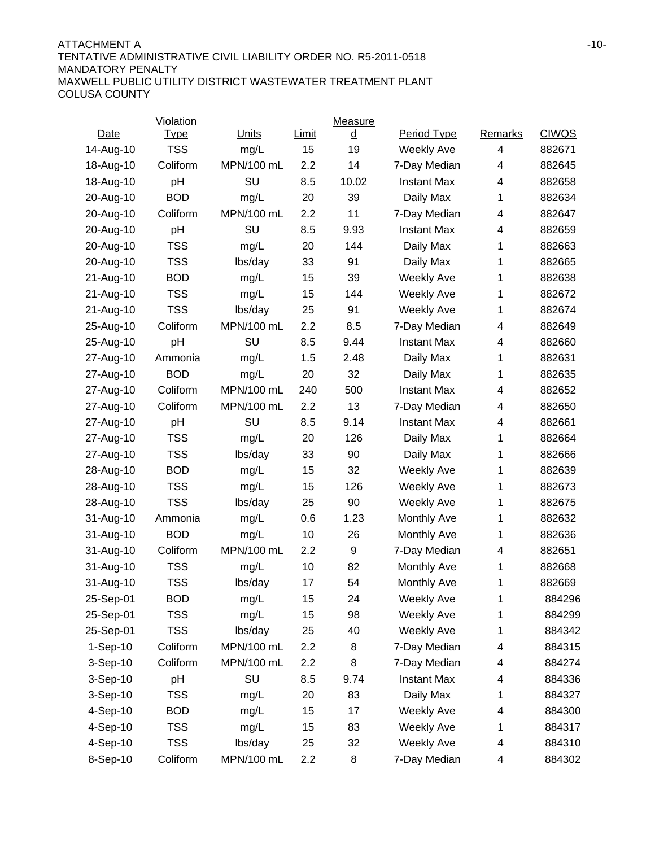#### ATTACHMENT A FILE AND THE SERIES OF THE SERIES OF THE SERIES OF THE SERIES OF THE SERIES OF THE SERIES OF THE SERIES OF THE SERIES OF THE SERIES OF THE SERIES OF THE SERIES OF THE SERIES OF THE SERIES OF THE SERIES OF THE TENTATIVE ADMINISTRATIVE CIVIL LIABILITY ORDER NO. R5-2011-0518 MANDATORY PENALTY MAXWELL PUBLIC UTILITY DISTRICT WASTEWATER TREATMENT PLANT COLUSA COUNTY

|           | Violation   |            |       | Measure |                    |         |              |
|-----------|-------------|------------|-------|---------|--------------------|---------|--------------|
| Date      | <u>Type</u> | Units      | Limit | ₫       | Period Type        | Remarks | <b>CIWQS</b> |
| 14-Aug-10 | <b>TSS</b>  | mg/L       | 15    | 19      | <b>Weekly Ave</b>  | 4       | 882671       |
| 18-Aug-10 | Coliform    | MPN/100 mL | 2.2   | 14      | 7-Day Median       | 4       | 882645       |
| 18-Aug-10 | pH          | SU         | 8.5   | 10.02   | <b>Instant Max</b> | 4       | 882658       |
| 20-Aug-10 | <b>BOD</b>  | mg/L       | 20    | 39      | Daily Max          | 1       | 882634       |
| 20-Aug-10 | Coliform    | MPN/100 mL | 2.2   | 11      | 7-Day Median       | 4       | 882647       |
| 20-Aug-10 | pH          | SU         | 8.5   | 9.93    | <b>Instant Max</b> | 4       | 882659       |
| 20-Aug-10 | <b>TSS</b>  | mg/L       | 20    | 144     | Daily Max          | 1       | 882663       |
| 20-Aug-10 | <b>TSS</b>  | lbs/day    | 33    | 91      | Daily Max          | 1       | 882665       |
| 21-Aug-10 | <b>BOD</b>  | mg/L       | 15    | 39      | <b>Weekly Ave</b>  | 1       | 882638       |
| 21-Aug-10 | <b>TSS</b>  | mg/L       | 15    | 144     | <b>Weekly Ave</b>  | 1       | 882672       |
| 21-Aug-10 | <b>TSS</b>  | lbs/day    | 25    | 91      | <b>Weekly Ave</b>  | 1       | 882674       |
| 25-Aug-10 | Coliform    | MPN/100 mL | 2.2   | 8.5     | 7-Day Median       | 4       | 882649       |
| 25-Aug-10 | pH          | SU         | 8.5   | 9.44    | <b>Instant Max</b> | 4       | 882660       |
| 27-Aug-10 | Ammonia     | mg/L       | 1.5   | 2.48    | Daily Max          | 1       | 882631       |
| 27-Aug-10 | <b>BOD</b>  | mg/L       | 20    | 32      | Daily Max          | 1       | 882635       |
| 27-Aug-10 | Coliform    | MPN/100 mL | 240   | 500     | <b>Instant Max</b> | 4       | 882652       |
| 27-Aug-10 | Coliform    | MPN/100 mL | 2.2   | 13      | 7-Day Median       | 4       | 882650       |
| 27-Aug-10 | pH          | SU         | 8.5   | 9.14    | <b>Instant Max</b> | 4       | 882661       |
| 27-Aug-10 | <b>TSS</b>  | mg/L       | 20    | 126     | Daily Max          | 1       | 882664       |
| 27-Aug-10 | <b>TSS</b>  | lbs/day    | 33    | 90      | Daily Max          | 1       | 882666       |
| 28-Aug-10 | <b>BOD</b>  | mg/L       | 15    | 32      | <b>Weekly Ave</b>  | 1       | 882639       |
| 28-Aug-10 | <b>TSS</b>  | mg/L       | 15    | 126     | <b>Weekly Ave</b>  | 1       | 882673       |
| 28-Aug-10 | <b>TSS</b>  | lbs/day    | 25    | 90      | <b>Weekly Ave</b>  | 1       | 882675       |
| 31-Aug-10 | Ammonia     | mg/L       | 0.6   | 1.23    | Monthly Ave        | 1       | 882632       |
| 31-Aug-10 | <b>BOD</b>  | mg/L       | 10    | 26      | <b>Monthly Ave</b> | 1       | 882636       |
| 31-Aug-10 | Coliform    | MPN/100 mL | 2.2   | 9       | 7-Day Median       | 4       | 882651       |
| 31-Aug-10 | <b>TSS</b>  | mg/L       | 10    | 82      | <b>Monthly Ave</b> | 1       | 882668       |
| 31-Aug-10 | <b>TSS</b>  | lbs/day    | 17    | 54      | Monthly Ave        | 1       | 882669       |
| 25-Sep-01 | <b>BOD</b>  | mg/L       | 15    | 24      | Weekly Ave         | 1       | 884296       |
| 25-Sep-01 | <b>TSS</b>  | mg/L       | 15    | 98      | <b>Weekly Ave</b>  | 1       | 884299       |
| 25-Sep-01 | <b>TSS</b>  | lbs/day    | 25    | 40      | Weekly Ave         | 1       | 884342       |
| 1-Sep-10  | Coliform    | MPN/100 mL | 2.2   | 8       | 7-Day Median       | 4       | 884315       |
| 3-Sep-10  | Coliform    | MPN/100 mL | 2.2   | 8       | 7-Day Median       | 4       | 884274       |
| 3-Sep-10  | pH          | SU         | 8.5   | 9.74    | <b>Instant Max</b> | 4       | 884336       |
| 3-Sep-10  | TSS         | mg/L       | 20    | 83      | Daily Max          | 1       | 884327       |
| 4-Sep-10  | <b>BOD</b>  | mg/L       | 15    | 17      | Weekly Ave         | 4       | 884300       |
| 4-Sep-10  | <b>TSS</b>  | mg/L       | 15    | 83      | Weekly Ave         | 1       | 884317       |
| 4-Sep-10  | TSS         | lbs/day    | 25    | 32      | Weekly Ave         | 4       | 884310       |
| 8-Sep-10  | Coliform    | MPN/100 mL | 2.2   | 8       | 7-Day Median       | 4       | 884302       |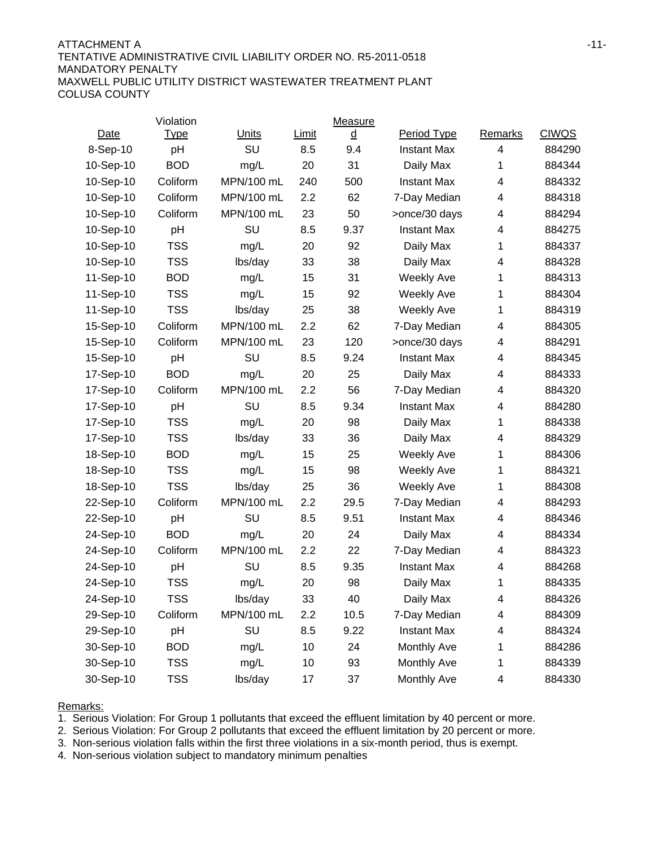#### ATTACHMENT A 511-11-12 STATES AND THE SERIES OF THE SERIES OF THE SERIES OF THE SERIES OF THE SERIES OF THE SERIES OF THE SERIES OF THE SERIES OF THE SERIES OF THE SERIES OF THE SERIES OF THE SERIES OF THE SERIES OF THE SE TENTATIVE ADMINISTRATIVE CIVIL LIABILITY ORDER NO. R5-2011-0518 MANDATORY PENALTY MAXWELL PUBLIC UTILITY DISTRICT WASTEWATER TREATMENT PLANT COLUSA COUNTY

|           | Violation   |            |       | Measure |                    |                |              |
|-----------|-------------|------------|-------|---------|--------------------|----------------|--------------|
| Date      | <b>Type</b> | Units      | Limit | ₫       | Period Type        | <b>Remarks</b> | <b>CIWQS</b> |
| 8-Sep-10  | pH          | SU         | 8.5   | 9.4     | <b>Instant Max</b> | 4              | 884290       |
| 10-Sep-10 | <b>BOD</b>  | mg/L       | 20    | 31      | Daily Max          | 1              | 884344       |
| 10-Sep-10 | Coliform    | MPN/100 mL | 240   | 500     | <b>Instant Max</b> | 4              | 884332       |
| 10-Sep-10 | Coliform    | MPN/100 mL | 2.2   | 62      | 7-Day Median       | 4              | 884318       |
| 10-Sep-10 | Coliform    | MPN/100 mL | 23    | 50      | >once/30 days      | 4              | 884294       |
| 10-Sep-10 | pH          | SU         | 8.5   | 9.37    | <b>Instant Max</b> | 4              | 884275       |
| 10-Sep-10 | <b>TSS</b>  | mg/L       | 20    | 92      | Daily Max          | 1              | 884337       |
| 10-Sep-10 | <b>TSS</b>  | lbs/day    | 33    | 38      | Daily Max          | 4              | 884328       |
| 11-Sep-10 | <b>BOD</b>  | mg/L       | 15    | 31      | <b>Weekly Ave</b>  | 1              | 884313       |
| 11-Sep-10 | <b>TSS</b>  | mg/L       | 15    | 92      | <b>Weekly Ave</b>  | 1              | 884304       |
| 11-Sep-10 | <b>TSS</b>  | lbs/day    | 25    | 38      | <b>Weekly Ave</b>  | 1              | 884319       |
| 15-Sep-10 | Coliform    | MPN/100 mL | 2.2   | 62      | 7-Day Median       | 4              | 884305       |
| 15-Sep-10 | Coliform    | MPN/100 mL | 23    | 120     | >once/30 days      | 4              | 884291       |
| 15-Sep-10 | pH          | SU         | 8.5   | 9.24    | <b>Instant Max</b> | 4              | 884345       |
| 17-Sep-10 | <b>BOD</b>  | mg/L       | 20    | 25      | Daily Max          | 4              | 884333       |
| 17-Sep-10 | Coliform    | MPN/100 mL | 2.2   | 56      | 7-Day Median       | 4              | 884320       |
| 17-Sep-10 | pH          | SU         | 8.5   | 9.34    | <b>Instant Max</b> | 4              | 884280       |
| 17-Sep-10 | <b>TSS</b>  | mg/L       | 20    | 98      | Daily Max          | 1              | 884338       |
| 17-Sep-10 | <b>TSS</b>  | lbs/day    | 33    | 36      | Daily Max          | 4              | 884329       |
| 18-Sep-10 | <b>BOD</b>  | mg/L       | 15    | 25      | <b>Weekly Ave</b>  | 1              | 884306       |
| 18-Sep-10 | <b>TSS</b>  | mg/L       | 15    | 98      | <b>Weekly Ave</b>  | 1              | 884321       |
| 18-Sep-10 | <b>TSS</b>  | lbs/day    | 25    | 36      | <b>Weekly Ave</b>  | 1              | 884308       |
| 22-Sep-10 | Coliform    | MPN/100 mL | 2.2   | 29.5    | 7-Day Median       | 4              | 884293       |
| 22-Sep-10 | pH          | SU         | 8.5   | 9.51    | <b>Instant Max</b> | 4              | 884346       |
| 24-Sep-10 | <b>BOD</b>  | mg/L       | 20    | 24      | Daily Max          | 4              | 884334       |
| 24-Sep-10 | Coliform    | MPN/100 mL | 2.2   | 22      | 7-Day Median       | 4              | 884323       |
| 24-Sep-10 | pH          | SU         | 8.5   | 9.35    | <b>Instant Max</b> | 4              | 884268       |
| 24-Sep-10 | <b>TSS</b>  | mg/L       | 20    | 98      | Daily Max          | 1              | 884335       |
| 24-Sep-10 | <b>TSS</b>  | lbs/day    | 33    | 40      | Daily Max          | 4              | 884326       |
| 29-Sep-10 | Coliform    | MPN/100 mL | 2.2   | 10.5    | 7-Day Median       | 4              | 884309       |
| 29-Sep-10 | pH          | SU         | 8.5   | 9.22    | <b>Instant Max</b> | 4              | 884324       |
| 30-Sep-10 | <b>BOD</b>  | mg/L       | 10    | 24      | Monthly Ave        | 1              | 884286       |
| 30-Sep-10 | <b>TSS</b>  | mg/L       | 10    | 93      | Monthly Ave        | 1              | 884339       |
| 30-Sep-10 | <b>TSS</b>  | lbs/day    | 17    | 37      | Monthly Ave        | 4              | 884330       |

Remarks:

1. Serious Violation: For Group 1 pollutants that exceed the effluent limitation by 40 percent or more.

2. Serious Violation: For Group 2 pollutants that exceed the effluent limitation by 20 percent or more.

3. Non-serious violation falls within the first three violations in a six-month period, thus is exempt.

4. Non-serious violation subject to mandatory minimum penalties